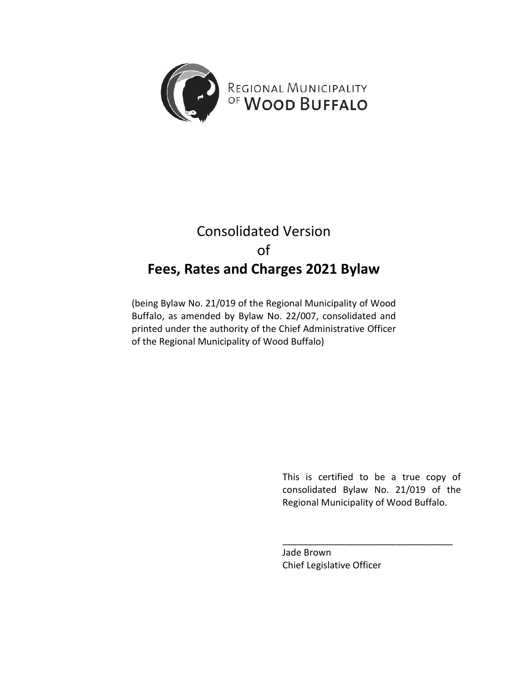

# Consolidated Version of **Fees, Rates and Charges 2021 Bylaw**

(being Bylaw No. 21/019 of the Regional Municipality of Wood Buffalo, as amended by Bylaw No. 22/007, consolidated and printed under the authority of the Chief Administrative Officer of the Regional Municipality of Wood Buffalo)

> This is certified to be a true copy of consolidated Bylaw No. 21/019 of the Regional Municipality of Wood Buffalo.

\_\_\_\_\_\_\_\_\_\_\_\_\_\_\_\_\_\_\_\_\_\_\_\_\_\_\_\_\_\_\_\_\_

Jade Brown Chief Legislative Officer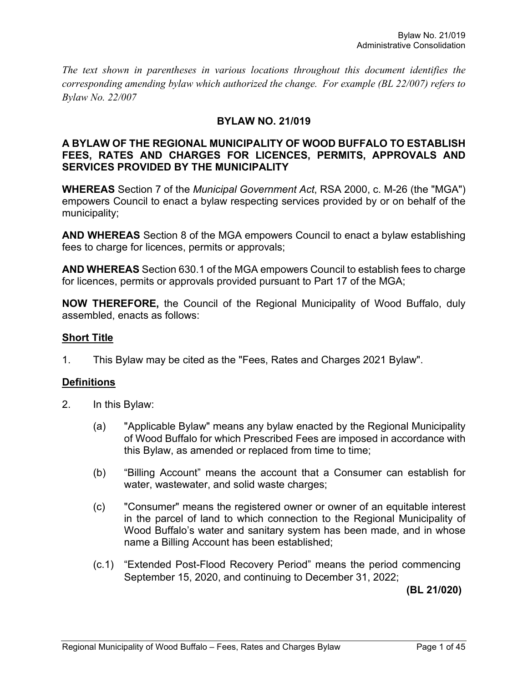*The text shown in parentheses in various locations throughout this document identifies the corresponding amending bylaw which authorized the change. For example (BL 22/007) refers to Bylaw No. 22/007*

### **BYLAW NO. 21/019**

#### **A BYLAW OF THE REGIONAL MUNICIPALITY OF WOOD BUFFALO TO ESTABLISH FEES, RATES AND CHARGES FOR LICENCES, PERMITS, APPROVALS AND SERVICES PROVIDED BY THE MUNICIPALITY**

**WHEREAS** Section 7 of the *Municipal Government Act*, RSA 2000, c. M-26 (the "MGA") empowers Council to enact a bylaw respecting services provided by or on behalf of the municipality;

**AND WHEREAS** Section 8 of the MGA empowers Council to enact a bylaw establishing fees to charge for licences, permits or approvals;

**AND WHEREAS** Section 630.1 of the MGA empowers Council to establish fees to charge for licences, permits or approvals provided pursuant to Part 17 of the MGA;

**NOW THEREFORE,** the Council of the Regional Municipality of Wood Buffalo, duly assembled, enacts as follows:

## **Short Title**

1. This Bylaw may be cited as the "Fees, Rates and Charges 2021 Bylaw".

### **Definitions**

- 2. In this Bylaw:
	- (a) "Applicable Bylaw" means any bylaw enacted by the Regional Municipality of Wood Buffalo for which Prescribed Fees are imposed in accordance with this Bylaw, as amended or replaced from time to time;
	- (b) "Billing Account" means the account that a Consumer can establish for water, wastewater, and solid waste charges;
	- (c) "Consumer" means the registered owner or owner of an equitable interest in the parcel of land to which connection to the Regional Municipality of Wood Buffalo's water and sanitary system has been made, and in whose name a Billing Account has been established;
	- (c.1) "Extended Post-Flood Recovery Period" means the period commencing September 15, 2020, and continuing to December 31, 2022;

**(BL 21/020)**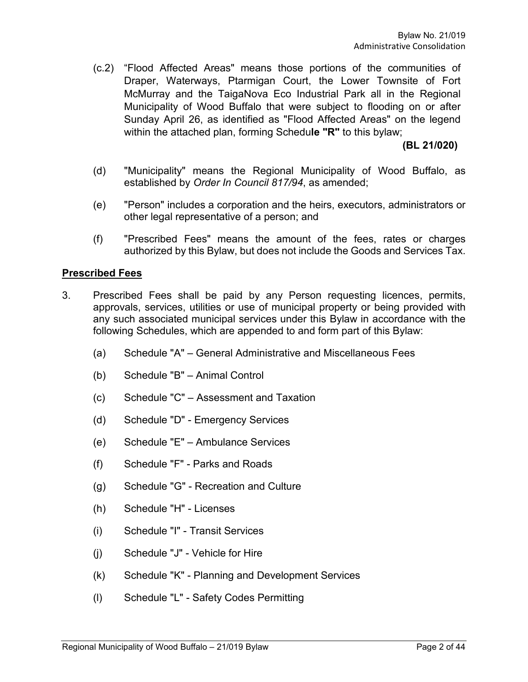(c.2) "Flood Affected Areas" means those portions of the communities of Draper, Waterways, Ptarmigan Court, the Lower Townsite of Fort McMurray and the TaigaNova Eco Industrial Park all in the Regional Municipality of Wood Buffalo that were subject to flooding on or after Sunday April 26, as identified as "Flood Affected Areas" on the legend within the attached plan, forming Schedu**le "R"** to this bylaw;

**(BL 21/020)**

- (d) "Municipality" means the Regional Municipality of Wood Buffalo, as established by *Order In Council 817/94*, as amended;
- (e) "Person" includes a corporation and the heirs, executors, administrators or other legal representative of a person; and
- (f) "Prescribed Fees" means the amount of the fees, rates or charges authorized by this Bylaw, but does not include the Goods and Services Tax.

### **Prescribed Fees**

- 3. Prescribed Fees shall be paid by any Person requesting licences, permits, approvals, services, utilities or use of municipal property or being provided with any such associated municipal services under this Bylaw in accordance with the following Schedules, which are appended to and form part of this Bylaw:
	- (a) Schedule "A" General Administrative and Miscellaneous Fees
	- (b) Schedule "B" Animal Control
	- (c) Schedule "C" Assessment and Taxation
	- (d) Schedule "D" Emergency Services
	- (e) Schedule "E" Ambulance Services
	- (f) Schedule "F" Parks and Roads
	- (g) Schedule "G" Recreation and Culture
	- (h) Schedule "H" Licenses
	- (i) Schedule "I" Transit Services
	- (j) Schedule "J" Vehicle for Hire
	- (k) Schedule "K" Planning and Development Services
	- (l) Schedule "L" Safety Codes Permitting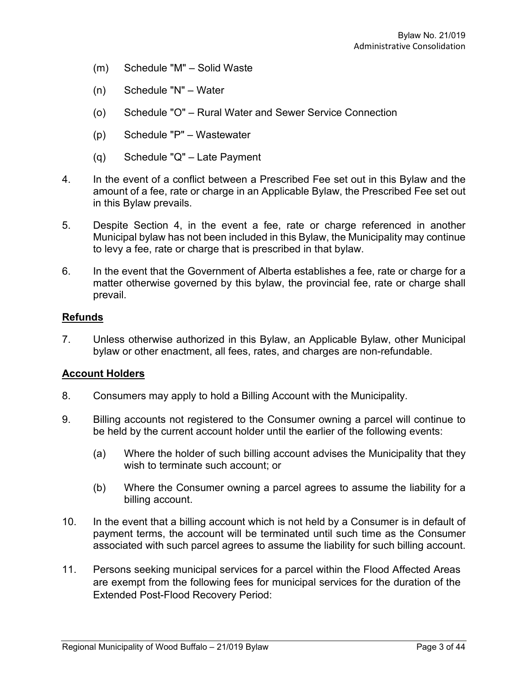- (m) Schedule "M" Solid Waste
- (n) Schedule "N" Water
- (o) Schedule "O" Rural Water and Sewer Service Connection
- (p) Schedule "P" Wastewater
- (q) Schedule "Q" Late Payment
- 4. In the event of a conflict between a Prescribed Fee set out in this Bylaw and the amount of a fee, rate or charge in an Applicable Bylaw, the Prescribed Fee set out in this Bylaw prevails.
- 5. Despite Section 4, in the event a fee, rate or charge referenced in another Municipal bylaw has not been included in this Bylaw, the Municipality may continue to levy a fee, rate or charge that is prescribed in that bylaw.
- 6. In the event that the Government of Alberta establishes a fee, rate or charge for a matter otherwise governed by this bylaw, the provincial fee, rate or charge shall prevail.

#### **Refunds**

7. Unless otherwise authorized in this Bylaw, an Applicable Bylaw, other Municipal bylaw or other enactment, all fees, rates, and charges are non-refundable.

#### **Account Holders**

- 8. Consumers may apply to hold a Billing Account with the Municipality.
- 9. Billing accounts not registered to the Consumer owning a parcel will continue to be held by the current account holder until the earlier of the following events:
	- (a) Where the holder of such billing account advises the Municipality that they wish to terminate such account; or
	- (b) Where the Consumer owning a parcel agrees to assume the liability for a billing account.
- 10. In the event that a billing account which is not held by a Consumer is in default of payment terms, the account will be terminated until such time as the Consumer associated with such parcel agrees to assume the liability for such billing account.
- 11. Persons seeking municipal services for a parcel within the Flood Affected Areas are exempt from the following fees for municipal services for the duration of the Extended Post-Flood Recovery Period: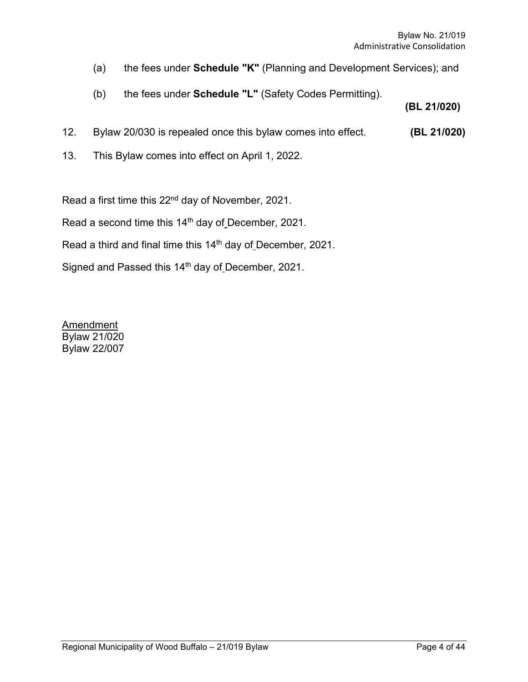- (a) the fees under **Schedule "K"** (Planning and Development Services); and
- (b) the fees under **Schedule "L"** (Safety Codes Permitting).

**(BL 21/020)**

- 12. Bylaw 20/030 is repealed once this bylaw comes into effect. **(BL 21/020)**
- 13. This Bylaw comes into effect on April 1, 2022.

Read a first time this 22<sup>nd</sup> day of November, 2021.

Read a second time this 14<sup>th</sup> day of December, 2021.

Read a third and final time this 14th day of December, 2021.

Signed and Passed this 14<sup>th</sup> day of December, 2021.

**Amendment** Bylaw 21/020 Bylaw 22/007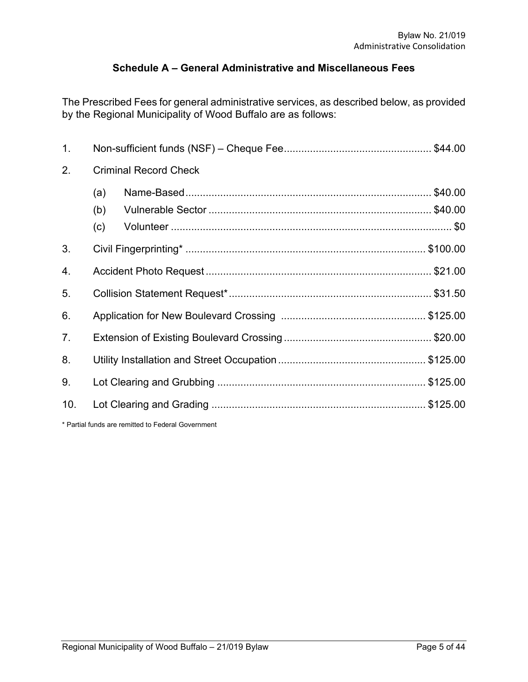# **Schedule A – General Administrative and Miscellaneous Fees**

The Prescribed Fees for general administrative services, as described below, as provided by the Regional Municipality of Wood Buffalo are as follows:

| 1.             |     |                                                    |  |  |  |
|----------------|-----|----------------------------------------------------|--|--|--|
| 2.             |     | <b>Criminal Record Check</b>                       |  |  |  |
|                | (a) |                                                    |  |  |  |
|                | (b) |                                                    |  |  |  |
|                | (c) |                                                    |  |  |  |
| 3.             |     |                                                    |  |  |  |
| 4.             |     |                                                    |  |  |  |
| 5.             |     |                                                    |  |  |  |
| 6.             |     |                                                    |  |  |  |
| 7 <sub>1</sub> |     |                                                    |  |  |  |
| 8.             |     |                                                    |  |  |  |
| 9.             |     |                                                    |  |  |  |
| 10.            |     |                                                    |  |  |  |
|                |     | * Partial funds are remitted to Federal Government |  |  |  |

Regional Municipality of Wood Buffalo - 21/019 Bylaw Page 5 of 44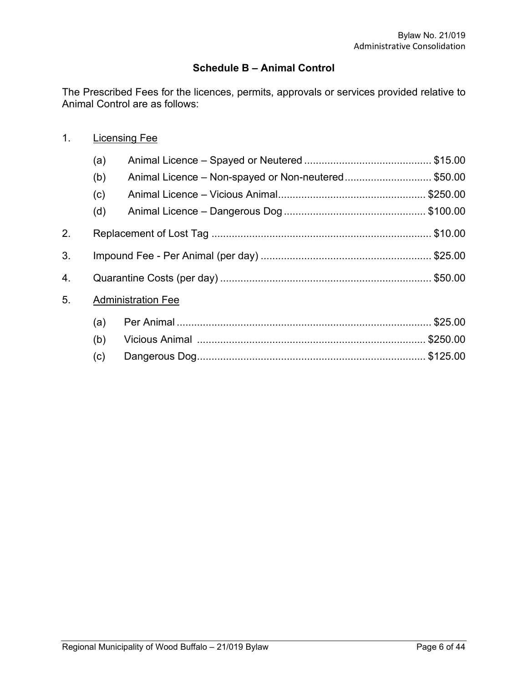## **Schedule B – Animal Control**

The Prescribed Fees for the licences, permits, approvals or services provided relative to Animal Control are as follows:

| (a) |                                                    |                           |  |  |
|-----|----------------------------------------------------|---------------------------|--|--|
| (b) | Animal Licence - Non-spayed or Non-neutered\$50.00 |                           |  |  |
| (c) |                                                    |                           |  |  |
| (d) |                                                    |                           |  |  |
|     |                                                    |                           |  |  |
|     |                                                    |                           |  |  |
|     |                                                    |                           |  |  |
|     |                                                    |                           |  |  |
| (a) |                                                    |                           |  |  |
| (b) |                                                    |                           |  |  |
| (c) |                                                    |                           |  |  |
|     |                                                    | <b>Administration Fee</b> |  |  |

1. Licensing Fee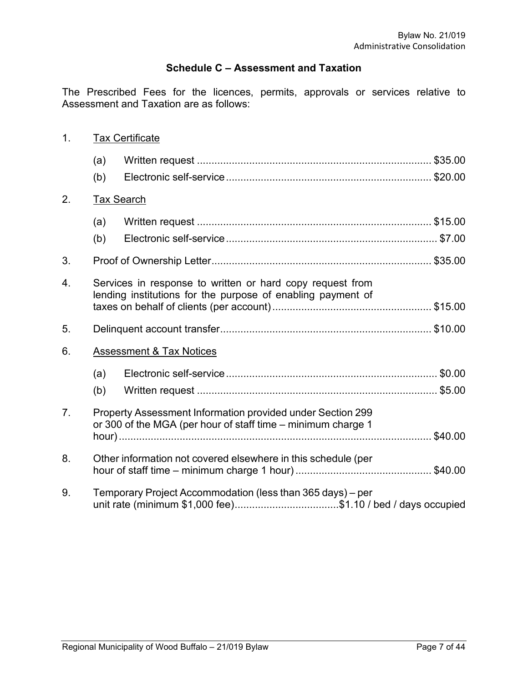# **Schedule C – Assessment and Taxation**

The Prescribed Fees for the licences, permits, approvals or services relative to Assessment and Taxation are as follows:

| 1.             | <b>Tax Certificate</b>                                                                                                   |                                                                                                                            |  |  |  |  |
|----------------|--------------------------------------------------------------------------------------------------------------------------|----------------------------------------------------------------------------------------------------------------------------|--|--|--|--|
|                | (a)                                                                                                                      |                                                                                                                            |  |  |  |  |
|                | (b)                                                                                                                      |                                                                                                                            |  |  |  |  |
| 2.             |                                                                                                                          | <b>Tax Search</b>                                                                                                          |  |  |  |  |
|                | (a)                                                                                                                      |                                                                                                                            |  |  |  |  |
|                | (b)                                                                                                                      |                                                                                                                            |  |  |  |  |
| 3.             |                                                                                                                          |                                                                                                                            |  |  |  |  |
| 4.             | Services in response to written or hard copy request from<br>lending institutions for the purpose of enabling payment of |                                                                                                                            |  |  |  |  |
|                |                                                                                                                          |                                                                                                                            |  |  |  |  |
| 5.             |                                                                                                                          |                                                                                                                            |  |  |  |  |
| 6.             |                                                                                                                          | <b>Assessment &amp; Tax Notices</b>                                                                                        |  |  |  |  |
|                | (a)                                                                                                                      |                                                                                                                            |  |  |  |  |
|                | (b)                                                                                                                      |                                                                                                                            |  |  |  |  |
| 7 <sub>1</sub> |                                                                                                                          | Property Assessment Information provided under Section 299<br>or 300 of the MGA (per hour of staff time - minimum charge 1 |  |  |  |  |
|                |                                                                                                                          |                                                                                                                            |  |  |  |  |
| 8.             |                                                                                                                          | Other information not covered elsewhere in this schedule (per                                                              |  |  |  |  |
| 9.             |                                                                                                                          | Temporary Project Accommodation (less than 365 days) – per                                                                 |  |  |  |  |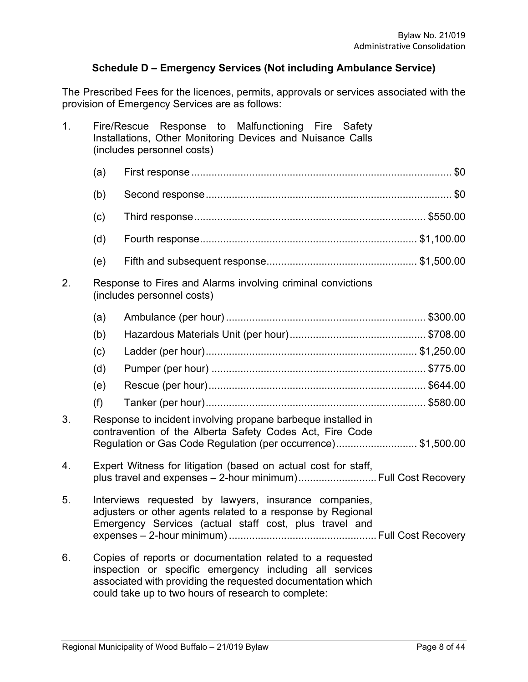# **Schedule D – Emergency Services (Not including Ambulance Service)**

The Prescribed Fees for the licences, permits, approvals or services associated with the provision of Emergency Services are as follows:

| 1. | Response to Malfunctioning Fire Safety<br>Fire/Rescue<br>Installations, Other Monitoring Devices and Nuisance Calls<br>(includes personnel costs)                              |                                                                                                                                                                                                                                            |  |  |  |
|----|--------------------------------------------------------------------------------------------------------------------------------------------------------------------------------|--------------------------------------------------------------------------------------------------------------------------------------------------------------------------------------------------------------------------------------------|--|--|--|
|    | (a)                                                                                                                                                                            |                                                                                                                                                                                                                                            |  |  |  |
|    | (b)                                                                                                                                                                            |                                                                                                                                                                                                                                            |  |  |  |
|    | (c)                                                                                                                                                                            |                                                                                                                                                                                                                                            |  |  |  |
|    | (d)                                                                                                                                                                            |                                                                                                                                                                                                                                            |  |  |  |
|    | (e)                                                                                                                                                                            |                                                                                                                                                                                                                                            |  |  |  |
| 2. |                                                                                                                                                                                | Response to Fires and Alarms involving criminal convictions<br>(includes personnel costs)                                                                                                                                                  |  |  |  |
|    | (a)                                                                                                                                                                            |                                                                                                                                                                                                                                            |  |  |  |
|    | (b)                                                                                                                                                                            |                                                                                                                                                                                                                                            |  |  |  |
|    | (c)                                                                                                                                                                            |                                                                                                                                                                                                                                            |  |  |  |
|    | (d)                                                                                                                                                                            |                                                                                                                                                                                                                                            |  |  |  |
|    | (e)                                                                                                                                                                            |                                                                                                                                                                                                                                            |  |  |  |
|    | (f)                                                                                                                                                                            |                                                                                                                                                                                                                                            |  |  |  |
| 3. |                                                                                                                                                                                | Response to incident involving propane barbeque installed in<br>contravention of the Alberta Safety Codes Act, Fire Code<br>Regulation or Gas Code Regulation (per occurrence)\$1,500.00                                                   |  |  |  |
| 4. |                                                                                                                                                                                | Expert Witness for litigation (based on actual cost for staff,<br>plus travel and expenses - 2-hour minimum) Full Cost Recovery                                                                                                            |  |  |  |
| 5. | Interviews requested by lawyers, insurance companies,<br>adjusters or other agents related to a response by Regional<br>Emergency Services (actual staff cost, plus travel and |                                                                                                                                                                                                                                            |  |  |  |
| 6. |                                                                                                                                                                                | Copies of reports or documentation related to a requested<br>inspection or specific emergency including all services<br>associated with providing the requested documentation which<br>could take up to two hours of research to complete: |  |  |  |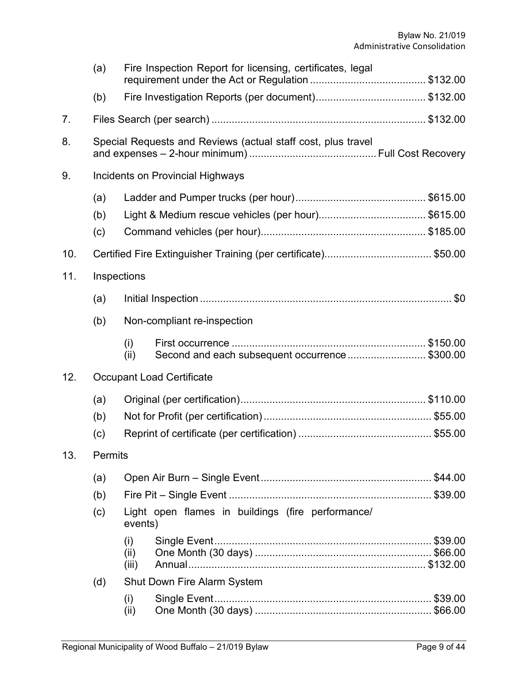|     | (a)               |                                        | Fire Inspection Report for licensing, certificates, legal    |  |  |  |
|-----|-------------------|----------------------------------------|--------------------------------------------------------------|--|--|--|
|     | (b)               |                                        |                                                              |  |  |  |
| 7.  |                   |                                        |                                                              |  |  |  |
| 8.  |                   |                                        | Special Requests and Reviews (actual staff cost, plus travel |  |  |  |
| 9.  |                   |                                        | Incidents on Provincial Highways                             |  |  |  |
|     | (a)<br>(b)<br>(c) |                                        |                                                              |  |  |  |
| 10. |                   |                                        |                                                              |  |  |  |
| 11. |                   | Inspections                            |                                                              |  |  |  |
|     | (a)               |                                        |                                                              |  |  |  |
|     | (b)               | Non-compliant re-inspection            |                                                              |  |  |  |
|     |                   | (i)<br>(ii)                            | Second and each subsequent occurrence\$300.00                |  |  |  |
| 12. |                   |                                        | <b>Occupant Load Certificate</b>                             |  |  |  |
|     | (a)<br>(b)<br>(c) |                                        |                                                              |  |  |  |
| 13. | Permits           |                                        |                                                              |  |  |  |
|     | (a)<br>(b)<br>(c) |                                        | Light open flames in buildings (fire performance/            |  |  |  |
|     | (d)               | events)<br>(i)<br>(ii)<br>(iii)<br>(i) | <b>Shut Down Fire Alarm System</b>                           |  |  |  |
|     |                   | (iii)                                  |                                                              |  |  |  |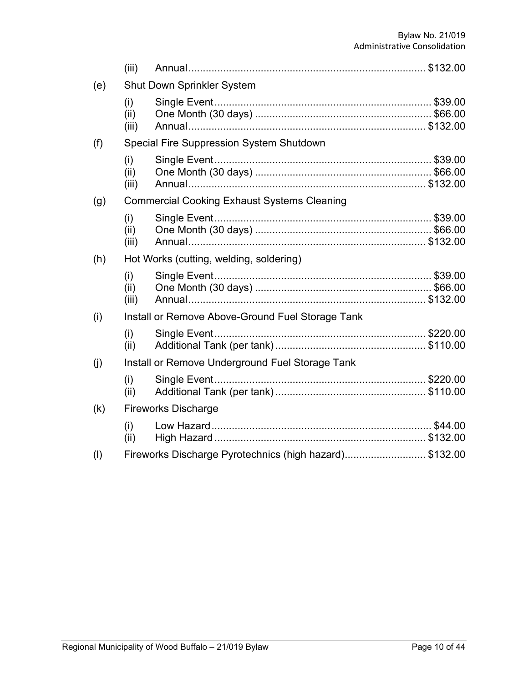|     | (iii)                |                                                        |  |
|-----|----------------------|--------------------------------------------------------|--|
| (e) |                      | <b>Shut Down Sprinkler System</b>                      |  |
|     | (i)<br>(ii)<br>(iii) |                                                        |  |
| (f) |                      | <b>Special Fire Suppression System Shutdown</b>        |  |
|     | (i)<br>(ii)<br>(iii) |                                                        |  |
| (g) |                      | <b>Commercial Cooking Exhaust Systems Cleaning</b>     |  |
|     | (i)<br>(ii)<br>(iii) |                                                        |  |
| (h) |                      | Hot Works (cutting, welding, soldering)                |  |
|     | (i)<br>(ii)<br>(iii) |                                                        |  |
| (i) |                      | Install or Remove Above-Ground Fuel Storage Tank       |  |
|     | (i)<br>(ii)          |                                                        |  |
| (j) |                      | Install or Remove Underground Fuel Storage Tank        |  |
|     | (i)<br>(ii)          |                                                        |  |
| (k) |                      | <b>Fireworks Discharge</b>                             |  |
|     | (i)<br>(ii)          |                                                        |  |
| (1) |                      | Fireworks Discharge Pyrotechnics (high hazard)\$132.00 |  |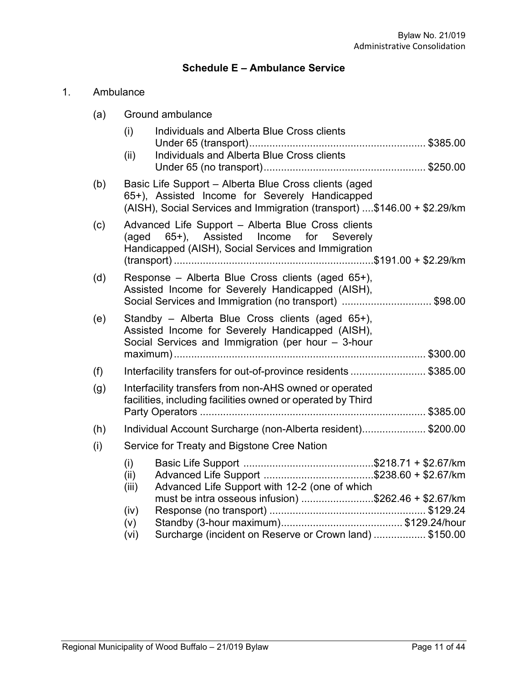# **Schedule E – Ambulance Service**

# 1. Ambulance

| (a) | Ground ambulance                                                                                                                                                                    |
|-----|-------------------------------------------------------------------------------------------------------------------------------------------------------------------------------------|
|     | Individuals and Alberta Blue Cross clients<br>(i)                                                                                                                                   |
|     | Individuals and Alberta Blue Cross clients<br>(ii)                                                                                                                                  |
| (b) | Basic Life Support - Alberta Blue Cross clients (aged<br>65+), Assisted Income for Severely Handicapped<br>(AISH), Social Services and Immigration (transport) \$146.00 + \$2.29/km |
| (c) | Advanced Life Support - Alberta Blue Cross clients<br>65+), Assisted Income for Severely<br>(aged<br>Handicapped (AISH), Social Services and Immigration                            |
| (d) | Response – Alberta Blue Cross clients (aged 65+),<br>Assisted Income for Severely Handicapped (AISH),<br>Social Services and Immigration (no transport) \$98.00                     |
| (e) | Standby - Alberta Blue Cross clients (aged 65+),<br>Assisted Income for Severely Handicapped (AISH),<br>Social Services and Immigration (per hour - 3-hour                          |
| (f) | Interfacility transfers for out-of-province residents \$385.00                                                                                                                      |
| (g) | Interfacility transfers from non-AHS owned or operated<br>facilities, including facilities owned or operated by Third                                                               |
|     |                                                                                                                                                                                     |
| (h) | Individual Account Surcharge (non-Alberta resident)\$200.00                                                                                                                         |
| (i) | Service for Treaty and Bigstone Cree Nation                                                                                                                                         |
|     | (i)<br>(ii)<br>Advanced Life Support with 12-2 (one of which<br>(iii)                                                                                                               |
|     | must be intra osseous infusion) \$262.46 + \$2.67/km<br>(iv)                                                                                                                        |
|     | (v)                                                                                                                                                                                 |
|     | Surcharge (incident on Reserve or Crown land)  \$150.00<br>(vi)                                                                                                                     |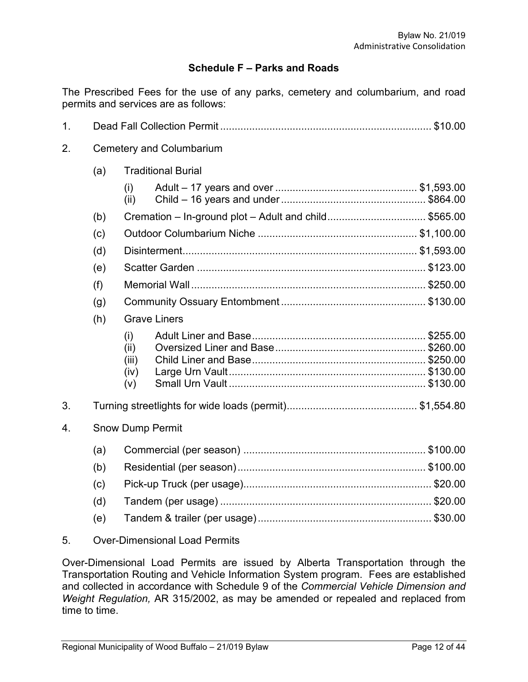## **Schedule F – Parks and Roads**

The Prescribed Fees for the use of any parks, cemetery and columbarium, and road permits and services are as follows:

| 1. |                         |                                     |                                                      |  |  |  |
|----|-------------------------|-------------------------------------|------------------------------------------------------|--|--|--|
| 2. |                         | <b>Cemetery and Columbarium</b>     |                                                      |  |  |  |
|    | (a)                     |                                     | <b>Traditional Burial</b>                            |  |  |  |
|    |                         | (i)<br>(ii)                         |                                                      |  |  |  |
|    | (b)                     |                                     | Cremation - In-ground plot - Adult and child\$565.00 |  |  |  |
|    | (c)                     |                                     |                                                      |  |  |  |
|    | (d)                     |                                     |                                                      |  |  |  |
|    | (e)                     |                                     |                                                      |  |  |  |
|    | (f)                     |                                     |                                                      |  |  |  |
|    | (g)                     |                                     |                                                      |  |  |  |
|    | (h)                     | <b>Grave Liners</b>                 |                                                      |  |  |  |
|    |                         | (i)<br>(ii)<br>(iii)<br>(iv)<br>(v) |                                                      |  |  |  |
| 3. |                         |                                     |                                                      |  |  |  |
| 4. | <b>Snow Dump Permit</b> |                                     |                                                      |  |  |  |
|    | (a)                     |                                     |                                                      |  |  |  |
|    | (b)                     |                                     |                                                      |  |  |  |
|    | (c)                     |                                     |                                                      |  |  |  |
|    | (d)                     |                                     |                                                      |  |  |  |
|    | (e)                     |                                     |                                                      |  |  |  |
|    |                         |                                     |                                                      |  |  |  |

### 5. Over-Dimensional Load Permits

Over-Dimensional Load Permits are issued by Alberta Transportation through the Transportation Routing and Vehicle Information System program. Fees are established and collected in accordance with Schedule 9 of the *Commercial Vehicle Dimension and Weight Regulation,* AR 315/2002, as may be amended or repealed and replaced from time to time.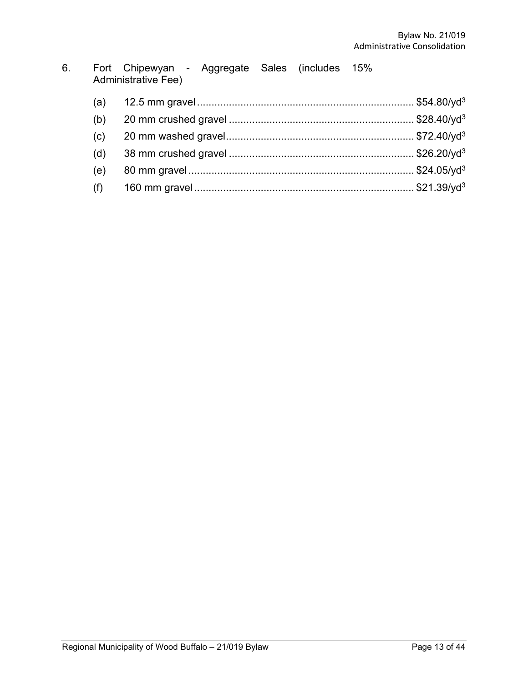| 6. | Fort Chipewyan - Aggregate Sales (includes 15% |  |  |
|----|------------------------------------------------|--|--|
|    | Administrative Fee)                            |  |  |

| (a) |  |
|-----|--|
| (b) |  |
| (c) |  |
| (d) |  |
| (e) |  |
| (f) |  |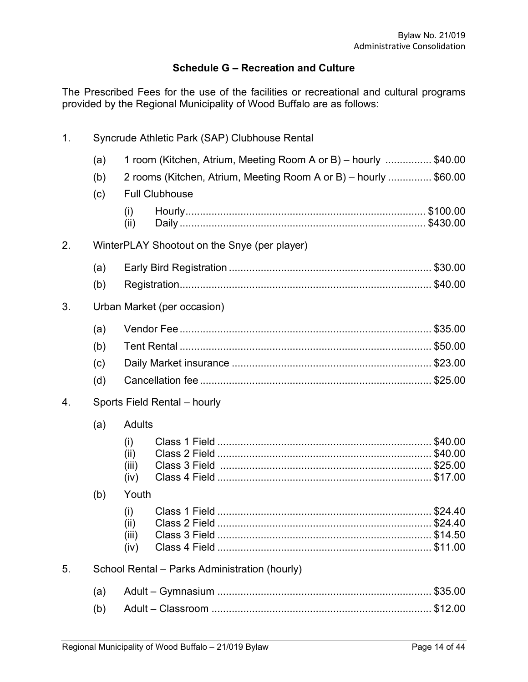# **Schedule G – Recreation and Culture**

The Prescribed Fees for the use of the facilities or recreational and cultural programs provided by the Regional Municipality of Wood Buffalo are as follows:

| 1. | Syncrude Athletic Park (SAP) Clubhouse Rental |                                               |                                                                                           |  |  |  |
|----|-----------------------------------------------|-----------------------------------------------|-------------------------------------------------------------------------------------------|--|--|--|
|    | (a)                                           |                                               | 1 room (Kitchen, Atrium, Meeting Room A or B) – hourly \$40.00                            |  |  |  |
|    | (b)<br>(c)                                    |                                               | 2 rooms (Kitchen, Atrium, Meeting Room A or B) - hourly  \$60.00<br><b>Full Clubhouse</b> |  |  |  |
|    |                                               | (i)<br>(ii)                                   |                                                                                           |  |  |  |
| 2. |                                               |                                               | WinterPLAY Shootout on the Snye (per player)                                              |  |  |  |
|    | (a)                                           |                                               |                                                                                           |  |  |  |
|    | (b)                                           |                                               |                                                                                           |  |  |  |
| 3. |                                               |                                               | Urban Market (per occasion)                                                               |  |  |  |
|    | (a)                                           |                                               |                                                                                           |  |  |  |
|    | (b)                                           |                                               |                                                                                           |  |  |  |
|    | (c)                                           |                                               |                                                                                           |  |  |  |
|    | (d)                                           |                                               |                                                                                           |  |  |  |
| 4. | Sports Field Rental - hourly                  |                                               |                                                                                           |  |  |  |
|    | (a)                                           | <b>Adults</b>                                 |                                                                                           |  |  |  |
|    |                                               | (i)<br>(ii)<br>(iii)<br>(iv)                  |                                                                                           |  |  |  |
|    | (b)                                           | Youth                                         |                                                                                           |  |  |  |
|    |                                               | (i)<br>(ii)<br>(iii)<br>(iv)                  |                                                                                           |  |  |  |
| 5. |                                               | School Rental - Parks Administration (hourly) |                                                                                           |  |  |  |
|    | (a)                                           |                                               |                                                                                           |  |  |  |
|    | (b)                                           |                                               |                                                                                           |  |  |  |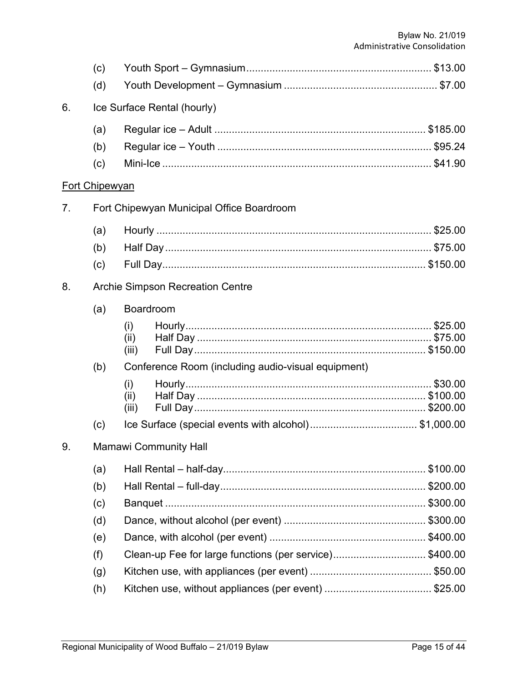|                | (c)                          |                                         |                                                        |  |  |
|----------------|------------------------------|-----------------------------------------|--------------------------------------------------------|--|--|
|                | (d)                          |                                         |                                                        |  |  |
| 6.             |                              |                                         | Ice Surface Rental (hourly)                            |  |  |
|                | (a)                          |                                         |                                                        |  |  |
|                | (b)                          |                                         |                                                        |  |  |
|                | (c)                          |                                         |                                                        |  |  |
|                | <b>Fort Chipewyan</b>        |                                         |                                                        |  |  |
| 7 <sub>1</sub> |                              |                                         | Fort Chipewyan Municipal Office Boardroom              |  |  |
|                | (a)                          |                                         |                                                        |  |  |
|                | (b)                          |                                         |                                                        |  |  |
|                | (c)                          |                                         |                                                        |  |  |
| 8.             |                              | <b>Archie Simpson Recreation Centre</b> |                                                        |  |  |
|                | (a)                          | Boardroom                               |                                                        |  |  |
|                |                              | (i)                                     |                                                        |  |  |
|                |                              | (ii)<br>(iii)                           |                                                        |  |  |
|                | (b)                          |                                         | Conference Room (including audio-visual equipment)     |  |  |
|                |                              | (i)                                     |                                                        |  |  |
|                |                              | (ii)                                    |                                                        |  |  |
|                |                              | (iii)                                   |                                                        |  |  |
|                | (c)                          |                                         |                                                        |  |  |
| 9.             | <b>Mamawi Community Hall</b> |                                         |                                                        |  |  |
|                | (a)                          |                                         |                                                        |  |  |
|                | (b)                          |                                         |                                                        |  |  |
|                | (c)                          |                                         |                                                        |  |  |
|                | (d)                          |                                         |                                                        |  |  |
|                | (e)                          |                                         |                                                        |  |  |
|                | (f)                          |                                         | Clean-up Fee for large functions (per service)\$400.00 |  |  |
|                | (g)                          |                                         |                                                        |  |  |
|                | (h)                          |                                         |                                                        |  |  |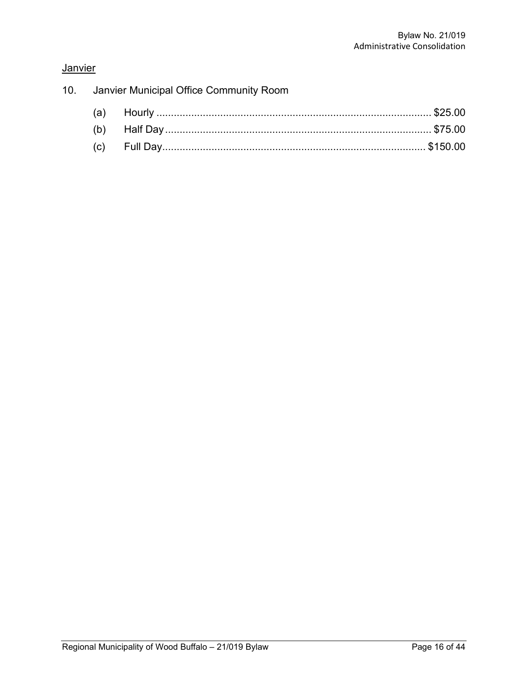# **Janvier**

|  | 10. Janvier Municipal Office Community Room |  |  |  |
|--|---------------------------------------------|--|--|--|
|  |                                             |  |  |  |
|  |                                             |  |  |  |
|  |                                             |  |  |  |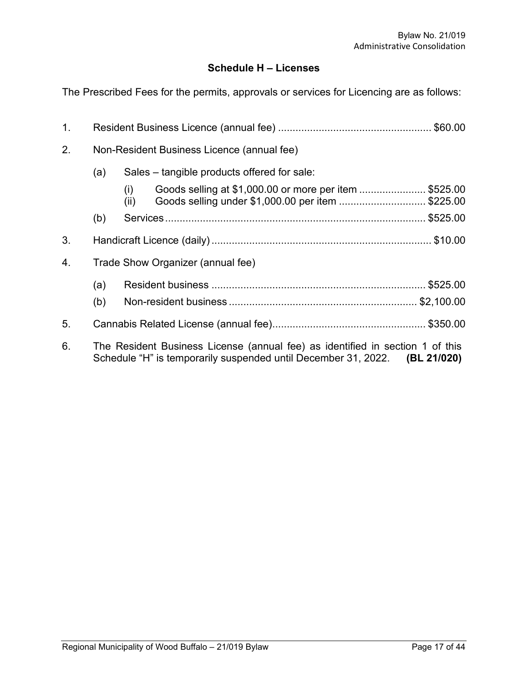# **Schedule H – Licenses**

The Prescribed Fees for the permits, approvals or services for Licencing are as follows:

| $\mathbf{1}$ . |                                                                                                                                                             |                                                                                                                            |  |  |
|----------------|-------------------------------------------------------------------------------------------------------------------------------------------------------------|----------------------------------------------------------------------------------------------------------------------------|--|--|
| 2.             | Non-Resident Business Licence (annual fee)                                                                                                                  |                                                                                                                            |  |  |
|                | (a)<br>Sales – tangible products offered for sale:                                                                                                          |                                                                                                                            |  |  |
|                |                                                                                                                                                             | Goods selling at \$1,000.00 or more per item  \$525.00<br>(i)<br>Goods selling under \$1,000.00 per item  \$225.00<br>(ii) |  |  |
|                | (b)                                                                                                                                                         |                                                                                                                            |  |  |
| 3.             |                                                                                                                                                             |                                                                                                                            |  |  |
| 4.             | Trade Show Organizer (annual fee)                                                                                                                           |                                                                                                                            |  |  |
|                | (a)                                                                                                                                                         |                                                                                                                            |  |  |
|                | (b)                                                                                                                                                         |                                                                                                                            |  |  |
| 5.             |                                                                                                                                                             |                                                                                                                            |  |  |
| 6.             | The Resident Business License (annual fee) as identified in section 1 of this<br>Schedule "H" is temporarily suspended until December 31, 2022. (BL 21/020) |                                                                                                                            |  |  |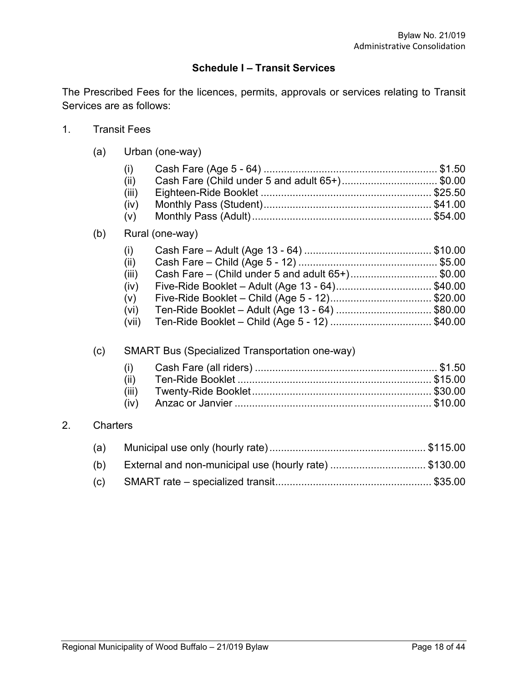# **Schedule I – Transit Services**

The Prescribed Fees for the licences, permits, approvals or services relating to Transit Services are as follows:

1. Transit Fees

 $2.$ 

(a) Urban (one-way)

|                 | (i)<br>(ii)<br>(iii)<br>(iv)<br>(v)                   | Cash Fare (Child under 5 and adult 65+)\$0.00                                                                                                                                                        |  |  |  |  |  |
|-----------------|-------------------------------------------------------|------------------------------------------------------------------------------------------------------------------------------------------------------------------------------------------------------|--|--|--|--|--|
| (b)             |                                                       | Rural (one-way)                                                                                                                                                                                      |  |  |  |  |  |
|                 | (i)<br>(ii)<br>(iii)<br>(iv)<br>(v)<br>(vi)<br>(vii)  | Cash Fare - (Child under 5 and adult 65+)\$0.00<br>Five-Ride Booklet - Adult (Age 13 - 64)\$40.00<br>Five-Ride Booklet - Child (Age 5 - 12)\$20.00<br>Ten-Ride Booklet - Adult (Age 13 - 64) \$80.00 |  |  |  |  |  |
| (c)             |                                                       | <b>SMART Bus (Specialized Transportation one-way)</b>                                                                                                                                                |  |  |  |  |  |
|                 | (i)<br>(ii)<br>(iii)<br>(iv)                          |                                                                                                                                                                                                      |  |  |  |  |  |
| <b>Charters</b> |                                                       |                                                                                                                                                                                                      |  |  |  |  |  |
| (a)             |                                                       |                                                                                                                                                                                                      |  |  |  |  |  |
| (b)             | External and non-municipal use (hourly rate) \$130.00 |                                                                                                                                                                                                      |  |  |  |  |  |
|                 |                                                       |                                                                                                                                                                                                      |  |  |  |  |  |

(c) SMART rate – specialized transit...................................................... \$35.00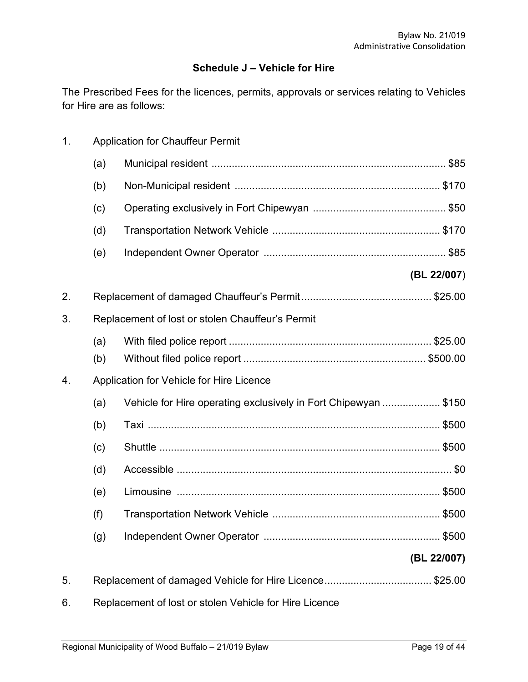# **Schedule J – Vehicle for Hire**

The Prescribed Fees for the licences, permits, approvals or services relating to Vehicles for Hire are as follows:

| 1.<br><b>Application for Chauffeur Permit</b> |                                          |                                                                |             |  |  |
|-----------------------------------------------|------------------------------------------|----------------------------------------------------------------|-------------|--|--|
|                                               | (a)                                      |                                                                |             |  |  |
|                                               | (b)                                      |                                                                |             |  |  |
|                                               | (c)                                      |                                                                |             |  |  |
|                                               | (d)                                      |                                                                |             |  |  |
|                                               | (e)                                      |                                                                |             |  |  |
|                                               |                                          |                                                                | (BL 22/007) |  |  |
| 2.                                            |                                          |                                                                |             |  |  |
| 3.                                            |                                          | Replacement of lost or stolen Chauffeur's Permit               |             |  |  |
|                                               | (a)                                      |                                                                |             |  |  |
|                                               | (b)                                      |                                                                |             |  |  |
| 4.                                            | Application for Vehicle for Hire Licence |                                                                |             |  |  |
|                                               | (a)                                      | Vehicle for Hire operating exclusively in Fort Chipewyan \$150 |             |  |  |
|                                               | (b)                                      |                                                                |             |  |  |
|                                               | (c)                                      |                                                                |             |  |  |
|                                               | (d)                                      |                                                                |             |  |  |
|                                               | (e)                                      |                                                                |             |  |  |
|                                               | (f)                                      |                                                                |             |  |  |
|                                               | (g)                                      |                                                                |             |  |  |
|                                               |                                          |                                                                | (BL 22/007) |  |  |
| 5.                                            |                                          |                                                                |             |  |  |
| 6.                                            |                                          | Replacement of lost or stolen Vehicle for Hire Licence         |             |  |  |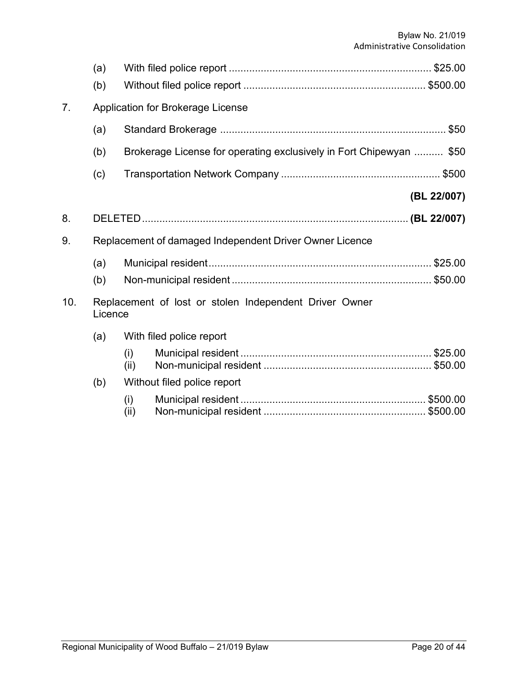|                                                                          | (a) |                                   |                                                                     |             |  |  |
|--------------------------------------------------------------------------|-----|-----------------------------------|---------------------------------------------------------------------|-------------|--|--|
|                                                                          | (b) |                                   |                                                                     |             |  |  |
| 7 <sub>1</sub>                                                           |     | Application for Brokerage License |                                                                     |             |  |  |
|                                                                          | (a) |                                   |                                                                     |             |  |  |
|                                                                          | (b) |                                   | Brokerage License for operating exclusively in Fort Chipewyan  \$50 |             |  |  |
|                                                                          | (c) |                                   |                                                                     |             |  |  |
|                                                                          |     |                                   |                                                                     | (BL 22/007) |  |  |
| 8.                                                                       |     |                                   |                                                                     |             |  |  |
| 9.                                                                       |     |                                   | Replacement of damaged Independent Driver Owner Licence             |             |  |  |
|                                                                          | (a) |                                   |                                                                     |             |  |  |
|                                                                          | (b) |                                   |                                                                     |             |  |  |
| 10.<br>Replacement of lost or stolen Independent Driver Owner<br>Licence |     |                                   |                                                                     |             |  |  |
|                                                                          | (a) |                                   | With filed police report                                            |             |  |  |
|                                                                          |     | (i)<br>(ii)                       |                                                                     |             |  |  |
|                                                                          | (b) |                                   | Without filed police report                                         |             |  |  |
|                                                                          |     | (i)<br>(ii)                       |                                                                     |             |  |  |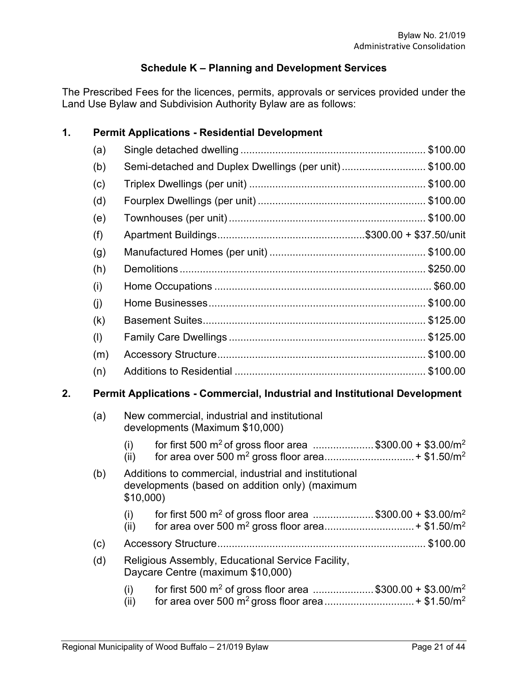# **Schedule K – Planning and Development Services**

The Prescribed Fees for the licences, permits, approvals or services provided under the Land Use Bylaw and Subdivision Authority Bylaw are as follows:

## **1. Permit Applications - Residential Development**

|    | (a) |                                                                            |  |
|----|-----|----------------------------------------------------------------------------|--|
|    | (b) | Semi-detached and Duplex Dwellings (per unit)\$100.00                      |  |
|    | (c) |                                                                            |  |
|    | (d) |                                                                            |  |
|    | (e) |                                                                            |  |
|    | (f) |                                                                            |  |
|    | (g) |                                                                            |  |
|    | (h) |                                                                            |  |
|    | (i) |                                                                            |  |
|    | (j) |                                                                            |  |
|    | (k) |                                                                            |  |
|    | (1) |                                                                            |  |
|    | (m) |                                                                            |  |
|    | (n) |                                                                            |  |
| 2. |     | Permit Applications - Commercial, Industrial and Institutional Development |  |

# (a) New commercial, industrial and institutional developments (Maximum \$10,000)

|      | for first 500 m <sup>2</sup> of gross floor area \$300.00 + \$3.00/m <sup>2</sup> |  |
|------|-----------------------------------------------------------------------------------|--|
| (ii) |                                                                                   |  |
|      |                                                                                   |  |

#### (b) Additions to commercial, industrial and institutional developments (based on addition only) (maximum \$10,000)  $(1)$  for first  $500 \text{ m}^2$  of  $y = 1$  area  $z = 1$

| for first 500 m <sup>2</sup> of gross floor area \$300.00 + \$3.00/m <sup>2</sup> |  |
|-----------------------------------------------------------------------------------|--|
|                                                                                   |  |

# (c) Accessory Structure........................................................................ \$100.00

## (d) Religious Assembly, Educational Service Facility, Daycare Centre (maximum \$10,000)

(i) for first 500  $\text{m}^2$  of gross floor area .....................\$300.00 + \$3.00/m<sup>2</sup> (ii) for area over 500 m2 gross floor area...............................+ \$1.50/m2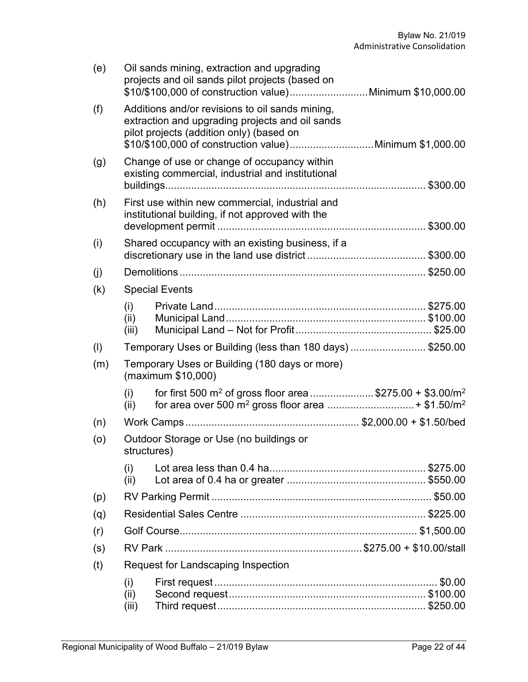| (e) | Oil sands mining, extraction and upgrading<br>projects and oil sands pilot projects (based on                                                                                                             |                                                                                                     |  |  |  |
|-----|-----------------------------------------------------------------------------------------------------------------------------------------------------------------------------------------------------------|-----------------------------------------------------------------------------------------------------|--|--|--|
| (f) | Additions and/or revisions to oil sands mining,<br>extraction and upgrading projects and oil sands<br>pilot projects (addition only) (based on<br>\$10/\$100,000 of construction value)Minimum \$1,000.00 |                                                                                                     |  |  |  |
| (g) | Change of use or change of occupancy within<br>existing commercial, industrial and institutional                                                                                                          |                                                                                                     |  |  |  |
| (h) |                                                                                                                                                                                                           | First use within new commercial, industrial and<br>institutional building, if not approved with the |  |  |  |
| (i) |                                                                                                                                                                                                           | Shared occupancy with an existing business, if a                                                    |  |  |  |
|     |                                                                                                                                                                                                           |                                                                                                     |  |  |  |
| (i) |                                                                                                                                                                                                           |                                                                                                     |  |  |  |
| (k) |                                                                                                                                                                                                           | <b>Special Events</b>                                                                               |  |  |  |
|     | (i)<br>(ii)<br>(iii)                                                                                                                                                                                      |                                                                                                     |  |  |  |
| (1) |                                                                                                                                                                                                           | Temporary Uses or Building (less than 180 days) \$250.00                                            |  |  |  |
| (m) |                                                                                                                                                                                                           | Temporary Uses or Building (180 days or more)<br>(maximum \$10,000)                                 |  |  |  |
|     | (i)<br>(ii)                                                                                                                                                                                               | for first 500 m <sup>2</sup> of gross floor area\$275.00 + \$3.00/m <sup>2</sup>                    |  |  |  |
| (n) |                                                                                                                                                                                                           |                                                                                                     |  |  |  |
| (o) |                                                                                                                                                                                                           | Outdoor Storage or Use (no buildings or<br>structures)                                              |  |  |  |
|     | (i)<br>(ii)                                                                                                                                                                                               |                                                                                                     |  |  |  |
| (p) |                                                                                                                                                                                                           |                                                                                                     |  |  |  |
| (q) |                                                                                                                                                                                                           |                                                                                                     |  |  |  |
| (r) |                                                                                                                                                                                                           |                                                                                                     |  |  |  |
| (s) |                                                                                                                                                                                                           |                                                                                                     |  |  |  |
| (t) |                                                                                                                                                                                                           | Request for Landscaping Inspection                                                                  |  |  |  |
|     | (i)<br>(ii)<br>(iii)                                                                                                                                                                                      |                                                                                                     |  |  |  |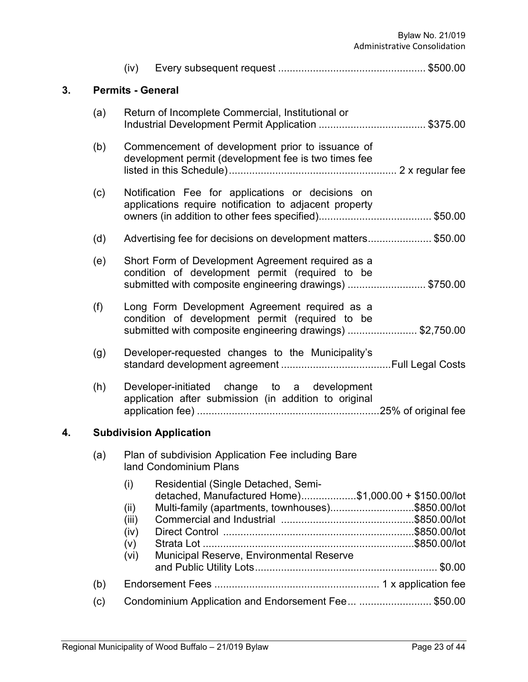|    |     | (iv)                                                                                                                                                            |  |  |
|----|-----|-----------------------------------------------------------------------------------------------------------------------------------------------------------------|--|--|
| 3. |     | <b>Permits - General</b>                                                                                                                                        |  |  |
|    | (a) | Return of Incomplete Commercial, Institutional or                                                                                                               |  |  |
|    | (b) | Commencement of development prior to issuance of<br>development permit (development fee is two times fee                                                        |  |  |
|    | (c) | Notification Fee for applications or decisions on<br>applications require notification to adjacent property                                                     |  |  |
|    | (d) | Advertising fee for decisions on development matters\$50.00                                                                                                     |  |  |
|    | (e) | Short Form of Development Agreement required as a<br>condition of development permit (required to be<br>submitted with composite engineering drawings) \$750.00 |  |  |
|    | (f) | Long Form Development Agreement required as a<br>condition of development permit (required to be<br>submitted with composite engineering drawings) \$2,750.00   |  |  |
|    | (g) | Developer-requested changes to the Municipality's                                                                                                               |  |  |
|    | (h) | Developer-initiated change to a development<br>application after submission (in addition to original                                                            |  |  |
| 4. |     | <b>Subdivision Application</b>                                                                                                                                  |  |  |
|    | (a) | Plan of subdivision Application Fee including Bare<br>land Condominium Plans                                                                                    |  |  |
|    |     | (i)<br>Residential (Single Detached, Semi-<br>detached, Manufactured Home)\$1,000.00 + \$150.00/lot                                                             |  |  |
|    |     | Multi-family (apartments, townhouses)\$850.00/lot<br>(ii)<br>(iii)<br>(iv)<br>(v)<br>Municipal Reserve, Environmental Reserve<br>(vi)                           |  |  |
|    | (b) |                                                                                                                                                                 |  |  |
|    | (c) | Condominium Application and Endorsement Fee \$50.00                                                                                                             |  |  |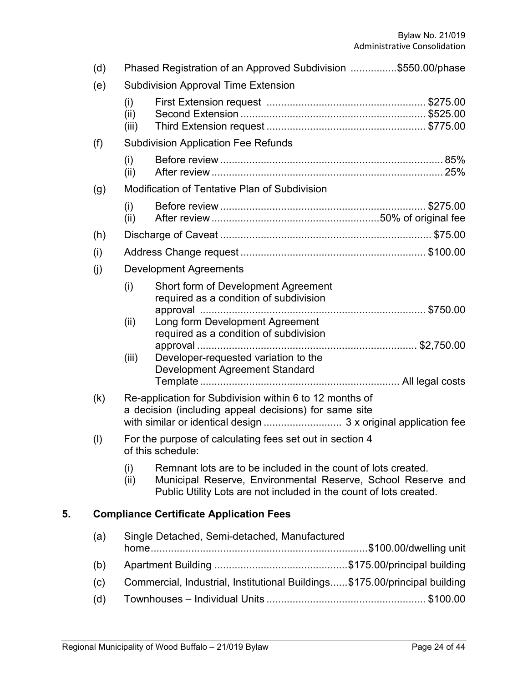|    | (d)       | Phased Registration of an Approved Subdivision \$550.00/phase |                                                                                                                                                                                                     |  |
|----|-----------|---------------------------------------------------------------|-----------------------------------------------------------------------------------------------------------------------------------------------------------------------------------------------------|--|
|    | (e)       |                                                               | <b>Subdivision Approval Time Extension</b>                                                                                                                                                          |  |
|    |           | (i)<br>(ii)<br>(iii)                                          |                                                                                                                                                                                                     |  |
|    | (f)       |                                                               | <b>Subdivision Application Fee Refunds</b>                                                                                                                                                          |  |
|    |           | (i)<br>(ii)                                                   |                                                                                                                                                                                                     |  |
|    | (g)       |                                                               | <b>Modification of Tentative Plan of Subdivision</b>                                                                                                                                                |  |
|    |           | (i)<br>(ii)                                                   |                                                                                                                                                                                                     |  |
|    | (h)       |                                                               |                                                                                                                                                                                                     |  |
|    | (i)       |                                                               |                                                                                                                                                                                                     |  |
|    | (j)       |                                                               | <b>Development Agreements</b>                                                                                                                                                                       |  |
|    |           | (i)                                                           | Short form of Development Agreement<br>required as a condition of subdivision                                                                                                                       |  |
|    |           | (ii)                                                          | Long form Development Agreement<br>required as a condition of subdivision                                                                                                                           |  |
|    |           | (iii)                                                         | Developer-requested variation to the<br>Development Agreement Standard                                                                                                                              |  |
|    | (k)       |                                                               | Re-application for Subdivision within 6 to 12 months of<br>a decision (including appeal decisions) for same site                                                                                    |  |
|    | $($ l $)$ |                                                               | For the purpose of calculating fees set out in section 4<br>of this schedule:                                                                                                                       |  |
|    |           | (i)<br>(ii)                                                   | Remnant lots are to be included in the count of lots created.<br>Municipal Reserve, Environmental Reserve, School Reserve and<br>Public Utility Lots are not included in the count of lots created. |  |
| 5. |           |                                                               | <b>Compliance Certificate Application Fees</b>                                                                                                                                                      |  |
|    | (a)       |                                                               | Single Detached, Semi-detached, Manufactured                                                                                                                                                        |  |
|    | (b)       |                                                               |                                                                                                                                                                                                     |  |
|    | (c)       |                                                               | Commercial, Industrial, Institutional Buildings \$175.00/principal building                                                                                                                         |  |
|    |           |                                                               |                                                                                                                                                                                                     |  |

(d) Townhouses – Individual Units ....................................................... \$100.00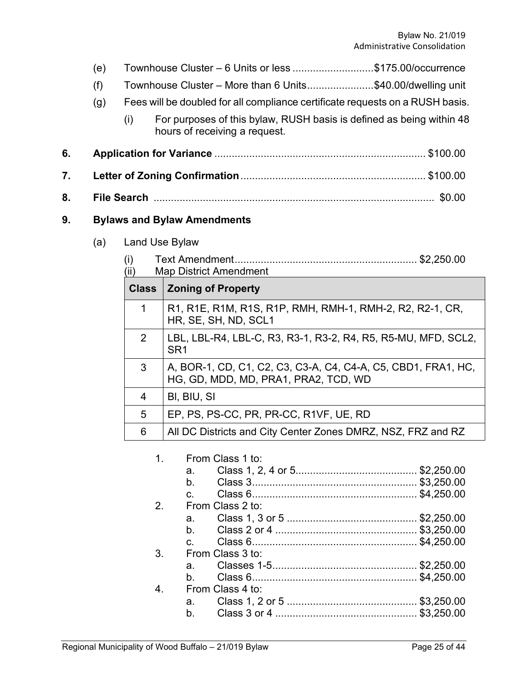|    | (e) |                | Townhouse Cluster – 6 Units or less \$175.00/occurrence                                               |
|----|-----|----------------|-------------------------------------------------------------------------------------------------------|
|    | (f) |                | Townhouse Cluster - More than 6 Units\$40.00/dwelling unit                                            |
|    | (g) |                | Fees will be doubled for all compliance certificate requests on a RUSH basis.                         |
|    |     | (i)            | For purposes of this bylaw, RUSH basis is defined as being within 48<br>hours of receiving a request. |
| 6. |     |                |                                                                                                       |
| 7. |     |                |                                                                                                       |
| 8. |     |                |                                                                                                       |
| 9. |     |                | <b>Bylaws and Bylaw Amendments</b>                                                                    |
|    | (a) | Land Use Bylaw |                                                                                                       |
|    |     | (i)<br>(ii)    | <b>Map District Amendment</b>                                                                         |
|    |     | <b>Class</b>   | <b>Zoning of Property</b>                                                                             |
|    |     | $\mathbf 1$    | R1, R1E, R1M, R1S, R1P, RMH, RMH-1, RMH-2, R2, R2-1, CR,<br>HR, SE, SH, ND, SCL1                      |
|    |     | $\overline{2}$ | LBL, LBL-R4, LBL-C, R3, R3-1, R3-2, R4, R5, R5-MU, MFD, SCL2,<br>SR <sub>1</sub>                      |
|    |     | 3              | A, BOR-1, CD, C1, C2, C3, C3-A, C4, C4-A, C5, CBD1, FRA1, HC,<br>HG, GD, MDD, MD, PRA1, PRA2, TCD, WD |
|    |     | 4              | BI, BIU, SI                                                                                           |
|    |     | 5              | EP, PS, PS-CC, PR, PR-CC, R1VF, UE, RD                                                                |
|    |     | 6              | All DC Districts and City Center Zones DMRZ, NSZ, FRZ and RZ                                          |
|    |     | 1 <sub>1</sub> | From Class 1 to:<br>a.<br>b.                                                                          |

|                | $C_{\rm{m}}$                  |                  |  |
|----------------|-------------------------------|------------------|--|
| 2.             |                               | From Class 2 to: |  |
|                |                               |                  |  |
|                |                               |                  |  |
|                | $\mathbf{c}$ and $\mathbf{c}$ |                  |  |
| 3.             |                               | From Class 3 to: |  |
|                |                               |                  |  |
|                | h —                           |                  |  |
| $\overline{4}$ |                               | From Class 4 to: |  |
|                |                               |                  |  |
|                | b.                            |                  |  |
|                |                               |                  |  |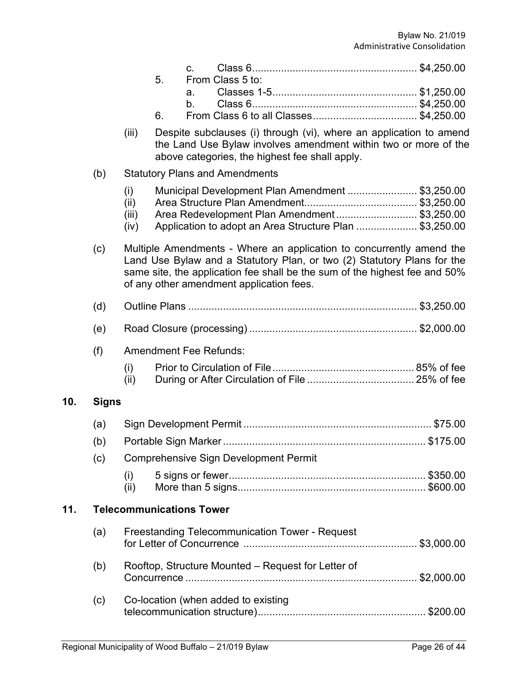|     |              |                              | 5.<br>6. | C.<br>a.<br>b.                  | From Class 5 to:                                      |  |  |                                                                                                                                                                                                                               |  |
|-----|--------------|------------------------------|----------|---------------------------------|-------------------------------------------------------|--|--|-------------------------------------------------------------------------------------------------------------------------------------------------------------------------------------------------------------------------------|--|
|     |              | (iii)                        |          |                                 | above categories, the highest fee shall apply.        |  |  | Despite subclauses (i) through (vi), where an application to amend<br>the Land Use Bylaw involves amendment within two or more of the                                                                                         |  |
|     | (b)          |                              |          |                                 | <b>Statutory Plans and Amendments</b>                 |  |  |                                                                                                                                                                                                                               |  |
|     |              | (i)<br>(ii)<br>(iii)<br>(iv) |          |                                 |                                                       |  |  | Municipal Development Plan Amendment \$3,250.00<br>Area Redevelopment Plan Amendment \$3,250.00<br>Application to adopt an Area Structure Plan \$3,250.00                                                                     |  |
|     | (c)          |                              |          |                                 | of any other amendment application fees.              |  |  | Multiple Amendments - Where an application to concurrently amend the<br>Land Use Bylaw and a Statutory Plan, or two (2) Statutory Plans for the<br>same site, the application fee shall be the sum of the highest fee and 50% |  |
|     | (d)          |                              |          |                                 |                                                       |  |  |                                                                                                                                                                                                                               |  |
|     | (e)          |                              |          |                                 |                                                       |  |  |                                                                                                                                                                                                                               |  |
|     | (f)          |                              |          |                                 | <b>Amendment Fee Refunds:</b>                         |  |  |                                                                                                                                                                                                                               |  |
|     |              | (i)<br>(ii)                  |          |                                 |                                                       |  |  |                                                                                                                                                                                                                               |  |
| 10. | <b>Signs</b> |                              |          |                                 |                                                       |  |  |                                                                                                                                                                                                                               |  |
|     | (a)          |                              |          |                                 |                                                       |  |  |                                                                                                                                                                                                                               |  |
|     | (b)          |                              |          |                                 |                                                       |  |  |                                                                                                                                                                                                                               |  |
|     | (c)          |                              |          |                                 | <b>Comprehensive Sign Development Permit</b>          |  |  |                                                                                                                                                                                                                               |  |
|     |              | (i)<br>(ii)                  |          |                                 |                                                       |  |  |                                                                                                                                                                                                                               |  |
| 11. |              |                              |          | <b>Telecommunications Tower</b> |                                                       |  |  |                                                                                                                                                                                                                               |  |
|     | (a)          |                              |          |                                 | <b>Freestanding Telecommunication Tower - Request</b> |  |  |                                                                                                                                                                                                                               |  |
|     | (b)          |                              |          |                                 | Rooftop, Structure Mounted - Request for Letter of    |  |  |                                                                                                                                                                                                                               |  |
|     | (c)          |                              |          |                                 | Co-location (when added to existing                   |  |  |                                                                                                                                                                                                                               |  |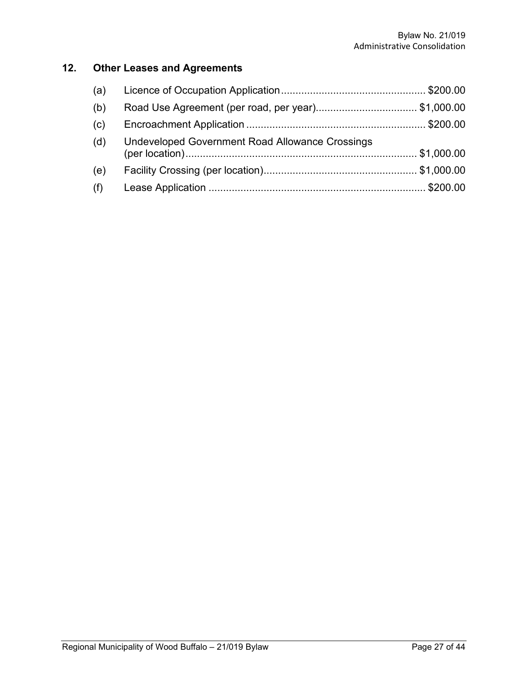# **12. Other Leases and Agreements**

| (a) |                                                        |  |
|-----|--------------------------------------------------------|--|
| (b) | Road Use Agreement (per road, per year)\$1,000.00      |  |
| (c) |                                                        |  |
| (d) | <b>Undeveloped Government Road Allowance Crossings</b> |  |
| (e) |                                                        |  |
| (f) |                                                        |  |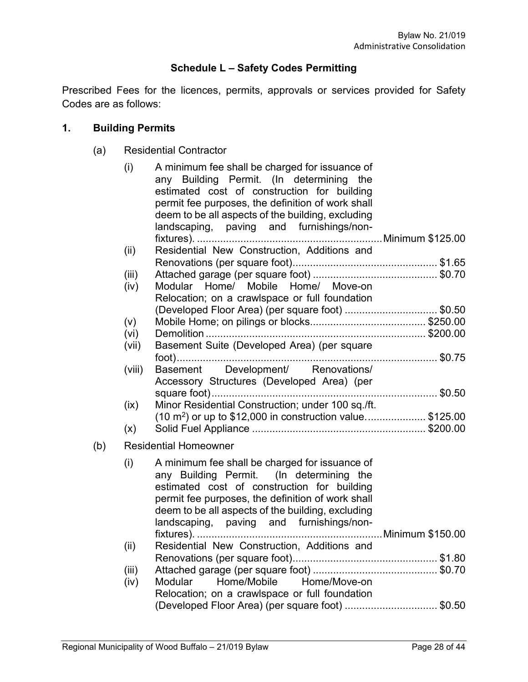# **Schedule L – Safety Codes Permitting**

Prescribed Fees for the licences, permits, approvals or services provided for Safety Codes are as follows:

#### **1. Building Permits**

(a) Residential Contractor

|     | (i)    | A minimum fee shall be charged for issuance of<br>any Building Permit. (In determining the<br>estimated cost of construction for building<br>permit fee purposes, the definition of work shall<br>deem to be all aspects of the building, excluding<br>landscaping, paving and furnishings/non- |  |
|-----|--------|-------------------------------------------------------------------------------------------------------------------------------------------------------------------------------------------------------------------------------------------------------------------------------------------------|--|
|     | (ii)   | Residential New Construction, Additions and                                                                                                                                                                                                                                                     |  |
|     |        |                                                                                                                                                                                                                                                                                                 |  |
|     | (iii)  |                                                                                                                                                                                                                                                                                                 |  |
|     | (iv)   | Modular Home/ Mobile Home/ Move-on                                                                                                                                                                                                                                                              |  |
|     |        | Relocation; on a crawlspace or full foundation                                                                                                                                                                                                                                                  |  |
|     |        | (Developed Floor Area) (per square foot) \$0.50                                                                                                                                                                                                                                                 |  |
|     | (v)    |                                                                                                                                                                                                                                                                                                 |  |
|     | (vi)   |                                                                                                                                                                                                                                                                                                 |  |
|     | (vii)  | Basement Suite (Developed Area) (per square                                                                                                                                                                                                                                                     |  |
|     |        |                                                                                                                                                                                                                                                                                                 |  |
|     | (viii) | Basement Development/ Renovations/<br>Accessory Structures (Developed Area) (per                                                                                                                                                                                                                |  |
|     |        |                                                                                                                                                                                                                                                                                                 |  |
|     | (ix)   | Minor Residential Construction; under 100 sq./ft.                                                                                                                                                                                                                                               |  |
|     |        | $(10 \text{ m}^2)$ or up to \$12,000 in construction value\$125.00                                                                                                                                                                                                                              |  |
|     | (x)    |                                                                                                                                                                                                                                                                                                 |  |
| (b) |        | <b>Residential Homeowner</b>                                                                                                                                                                                                                                                                    |  |
|     | (i)    | A minimum fee shall be charged for issuance of<br>any Building Permit. (In determining the<br>estimated cost of construction for building<br>permit fee purposes, the definition of work shall<br>deem to be all aspects of the building, excluding<br>landscaping, paving and furnishings/non- |  |
|     |        |                                                                                                                                                                                                                                                                                                 |  |
|     | (ii)   | Residential New Construction, Additions and                                                                                                                                                                                                                                                     |  |
|     |        |                                                                                                                                                                                                                                                                                                 |  |
|     | (iii)  |                                                                                                                                                                                                                                                                                                 |  |
|     | (iv)   | Home/Move-on<br>Home/Mobile<br>Modular                                                                                                                                                                                                                                                          |  |
|     |        | Relocation; on a crawlspace or full foundation                                                                                                                                                                                                                                                  |  |
|     |        | (Developed Floor Area) (per square foot) \$0.50                                                                                                                                                                                                                                                 |  |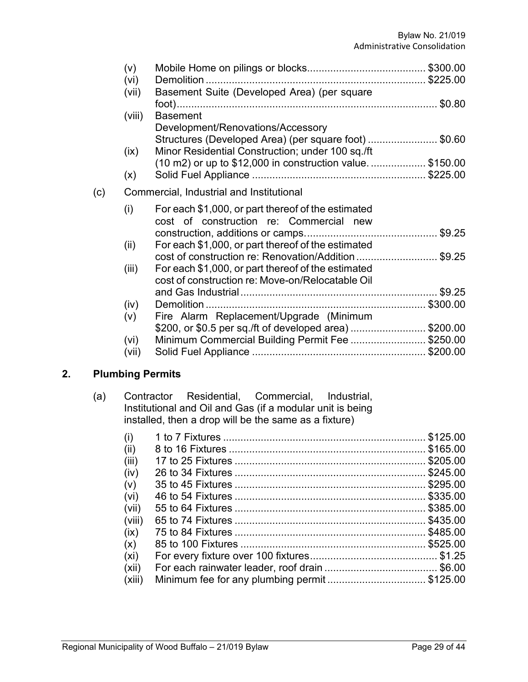|     | (v)<br>(vi) |                                                                                                           |  |
|-----|-------------|-----------------------------------------------------------------------------------------------------------|--|
|     | (vii)       | Basement Suite (Developed Area) (per square                                                               |  |
|     | (viii)      | <b>Basement</b><br>Development/Renovations/Accessory                                                      |  |
|     | (ix)        | Structures (Developed Area) (per square foot) \$0.60<br>Minor Residential Construction; under 100 sq./ft  |  |
|     | (x)         | (10 m2) or up to \$12,000 in construction value \$150.00                                                  |  |
| (c) |             | Commercial, Industrial and Institutional                                                                  |  |
|     | (i)         | For each \$1,000, or part thereof of the estimated<br>cost of construction re: Commercial<br>new          |  |
|     |             |                                                                                                           |  |
|     | (ii)        | For each \$1,000, or part thereof of the estimated<br>cost of construction re: Renovation/Addition \$9.25 |  |
|     | (iii)       | For each \$1,000, or part thereof of the estimated<br>cost of construction re: Move-on/Relocatable Oil    |  |
|     |             |                                                                                                           |  |
|     | (iv)        |                                                                                                           |  |
|     | (v)         | Fire Alarm Replacement/Upgrade (Minimum                                                                   |  |
|     |             | \$200, or \$0.5 per sq./ft of developed area)\$200.00                                                     |  |
|     | (vi)        | Minimum Commercial Building Permit Fee \$250.00                                                           |  |
|     | (vii)       |                                                                                                           |  |

# **2. Plumbing Permits**

| (a) |  | Contractor Residential, Commercial, Industrial,           |  |
|-----|--|-----------------------------------------------------------|--|
|     |  | Institutional and Oil and Gas (if a modular unit is being |  |
|     |  | installed, then a drop will be the same as a fixture)     |  |

| (i)    |                                             | \$125.00 |
|--------|---------------------------------------------|----------|
| (ii)   |                                             | \$165.00 |
| (iii)  |                                             | \$205.00 |
| (iv)   |                                             |          |
| (v)    |                                             | \$295.00 |
| (vi)   |                                             | \$335.00 |
| (vii)  |                                             | \$385.00 |
| (viii) |                                             | \$435.00 |
| (ix)   |                                             |          |
| (x)    |                                             |          |
| (xi)   |                                             |          |
| (xii)  |                                             |          |
| (xiii) | Minimum fee for any plumbing permit\$125.00 |          |
|        |                                             |          |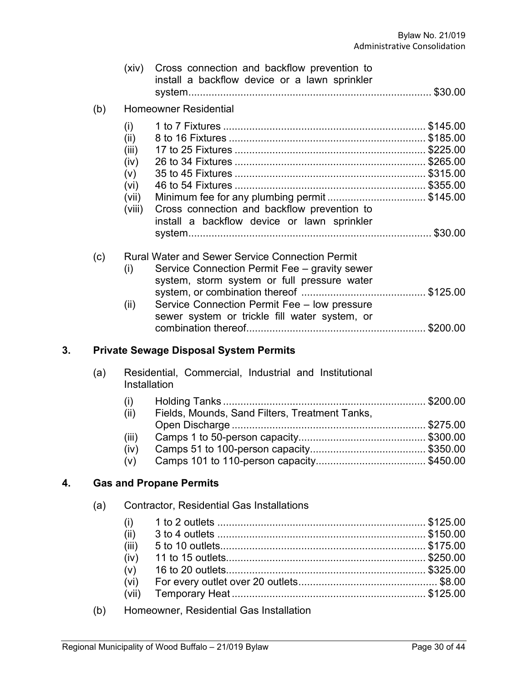|    |     | (xiv)                                                          | Cross connection and backflow prevention to<br>install a backflow device or a lawn sprinkler                                                                                                                                                            |  |
|----|-----|----------------------------------------------------------------|---------------------------------------------------------------------------------------------------------------------------------------------------------------------------------------------------------------------------------------------------------|--|
|    | (b) |                                                                | <b>Homeowner Residential</b>                                                                                                                                                                                                                            |  |
|    |     | (i)<br>(ii)<br>(iii)<br>(iv)<br>(v)<br>(vi)<br>(vii)<br>(viii) | Minimum fee for any plumbing permit\$145.00<br>Cross connection and backflow prevention to<br>install a backflow device or lawn sprinkler                                                                                                               |  |
|    | (c) | (i)<br>(ii)                                                    | <b>Rural Water and Sewer Service Connection Permit</b><br>Service Connection Permit Fee - gravity sewer<br>system, storm system or full pressure water<br>Service Connection Permit Fee - low pressure<br>sewer system or trickle fill water system, or |  |
| 3. |     |                                                                | <b>Private Sewage Disposal System Permits</b>                                                                                                                                                                                                           |  |
|    | (a) | Installation                                                   | Residential, Commercial, Industrial and Institutional                                                                                                                                                                                                   |  |
|    |     | (i)<br>(ii)<br>(iii)<br>(iv)<br>(v)                            | Fields, Mounds, Sand Filters, Treatment Tanks,                                                                                                                                                                                                          |  |
| 4. |     |                                                                | <b>Gas and Propane Permits</b>                                                                                                                                                                                                                          |  |
|    | (a) |                                                                | <b>Contractor, Residential Gas Installations</b>                                                                                                                                                                                                        |  |
|    |     | (i)<br>(ii)<br>(iii)<br>(iv)<br>(v)<br>(vi)<br>(vii)           |                                                                                                                                                                                                                                                         |  |
|    |     |                                                                |                                                                                                                                                                                                                                                         |  |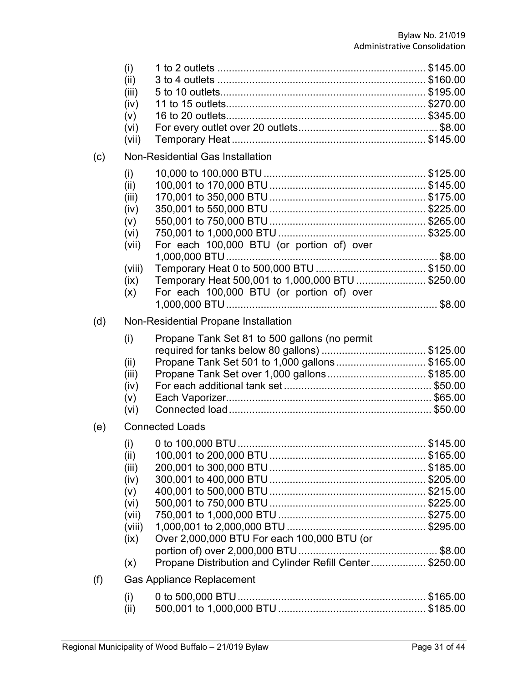|     | (i)    |                                                          |  |
|-----|--------|----------------------------------------------------------|--|
|     | (ii)   |                                                          |  |
|     | (iii)  |                                                          |  |
|     | (iv)   |                                                          |  |
|     | (v)    |                                                          |  |
|     | (vi)   |                                                          |  |
|     | (vii)  |                                                          |  |
| (c) |        | Non-Residential Gas Installation                         |  |
|     | (i)    |                                                          |  |
|     | (ii)   |                                                          |  |
|     | (iii)  |                                                          |  |
|     | (iv)   |                                                          |  |
|     | (v)    |                                                          |  |
|     | (vi)   |                                                          |  |
|     | (vii)  | For each 100,000 BTU (or portion of) over                |  |
|     |        |                                                          |  |
|     | (viii) |                                                          |  |
|     | (ix)   | Temporary Heat 500,001 to 1,000,000 BTU \$250.00         |  |
|     | (x)    | For each 100,000 BTU (or portion of) over                |  |
|     |        |                                                          |  |
| (d) |        | Non-Residential Propane Installation                     |  |
|     | (i)    | Propane Tank Set 81 to 500 gallons (no permit            |  |
|     |        |                                                          |  |
|     | (ii)   | Propane Tank Set 501 to 1,000 gallons\$165.00            |  |
|     | (iii)  |                                                          |  |
|     | (iv)   |                                                          |  |
|     | (v)    |                                                          |  |
|     | (vi)   |                                                          |  |
| (e) |        | <b>Connected Loads</b>                                   |  |
|     | (i)    |                                                          |  |
|     | (ii)   |                                                          |  |
|     | (iii)  |                                                          |  |
|     | (iv)   |                                                          |  |
|     | (v)    |                                                          |  |
|     | (vi)   |                                                          |  |
|     | (vii)  |                                                          |  |
|     | (viii) |                                                          |  |
|     | (ix)   | Over 2,000,000 BTU For each 100,000 BTU (or              |  |
|     |        |                                                          |  |
|     | (x)    | Propane Distribution and Cylinder Refill Center \$250.00 |  |
| (f) |        | <b>Gas Appliance Replacement</b>                         |  |
|     | (i)    |                                                          |  |
|     | (ii)   |                                                          |  |
|     |        |                                                          |  |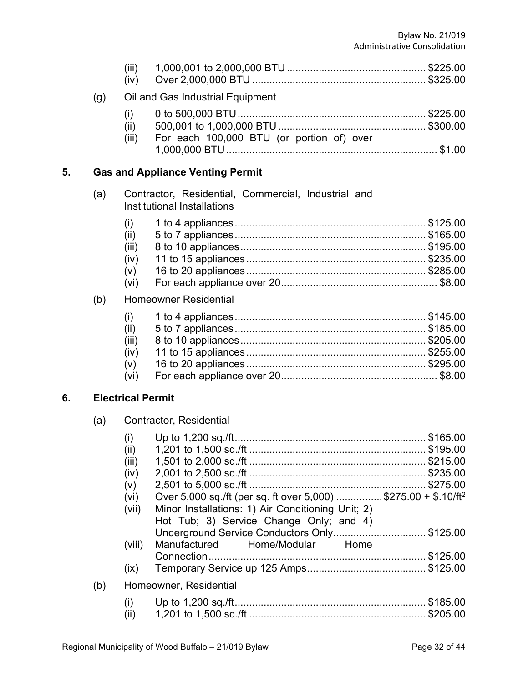|    |     | (iii)<br>(iv)            |                                                                                              |  |
|----|-----|--------------------------|----------------------------------------------------------------------------------------------|--|
|    | (g) |                          | Oil and Gas Industrial Equipment                                                             |  |
|    |     | (i)<br>(ii)<br>(iii)     | For each 100,000 BTU (or portion of) over                                                    |  |
| 5. |     |                          | <b>Gas and Appliance Venting Permit</b>                                                      |  |
|    | (a) |                          | Contractor, Residential, Commercial, Industrial and<br>Institutional Installations           |  |
|    |     | (i)                      |                                                                                              |  |
|    |     | (ii)                     |                                                                                              |  |
|    |     | (iii)                    |                                                                                              |  |
|    |     | (iv)                     |                                                                                              |  |
|    |     | (V)                      |                                                                                              |  |
|    |     | (vi)                     |                                                                                              |  |
|    | (b) |                          | <b>Homeowner Residential</b>                                                                 |  |
|    |     | (i)                      |                                                                                              |  |
|    |     | (ii)                     |                                                                                              |  |
|    |     | (iii)                    |                                                                                              |  |
|    |     | (iv)                     |                                                                                              |  |
|    |     | (v)<br>(vi)              |                                                                                              |  |
| 6. |     | <b>Electrical Permit</b> |                                                                                              |  |
|    | (a) |                          | Contractor, Residential                                                                      |  |
|    |     | (i)                      |                                                                                              |  |
|    |     |                          |                                                                                              |  |
|    |     | (iii)                    |                                                                                              |  |
|    |     | (iv)                     |                                                                                              |  |
|    |     | (V)                      |                                                                                              |  |
|    |     | (vi)                     | Over 5,000 sq./ft (per sq. ft over 5,000) \$275.00 + \$.10/ft <sup>2</sup>                   |  |
|    |     | (vii)                    | Minor Installations: 1) Air Conditioning Unit; 2)<br>Hot Tub; 3) Service Change Only; and 4) |  |
|    |     |                          | Underground Service Conductors Only\$125.00                                                  |  |
|    |     | (viii)                   | Home<br>Manufactured<br>Home/Modular                                                         |  |
|    |     |                          |                                                                                              |  |
|    |     | (ix)                     |                                                                                              |  |
|    | (b) |                          | Homeowner, Residential                                                                       |  |
|    |     | (i)                      |                                                                                              |  |
|    |     | (ii)                     |                                                                                              |  |
|    |     |                          |                                                                                              |  |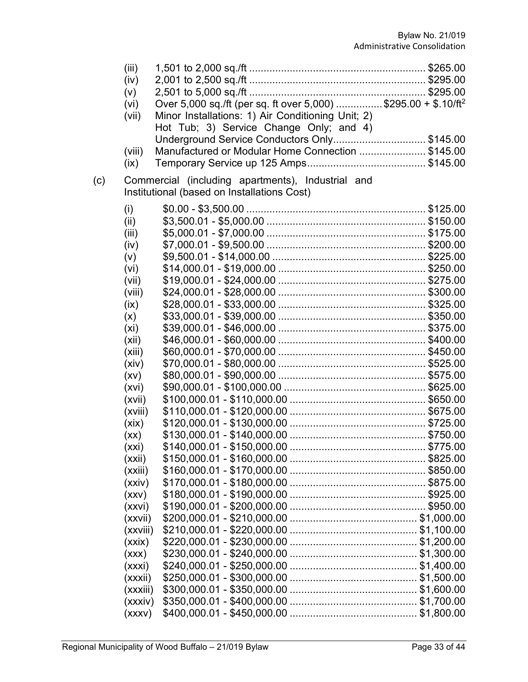|     | (iii)    |                                                                                                  |  |
|-----|----------|--------------------------------------------------------------------------------------------------|--|
|     | (iv)     |                                                                                                  |  |
|     | (v)      |                                                                                                  |  |
|     | (vi)     | Over 5,000 sq./ft (per sq. ft over 5,000) \$295.00 + \$.10/ft <sup>2</sup>                       |  |
|     | (vii)    | Minor Installations: 1) Air Conditioning Unit; 2)                                                |  |
|     |          | Hot Tub; 3) Service Change Only; and 4)                                                          |  |
|     |          | Underground Service Conductors Only\$145.00                                                      |  |
|     | (viii)   | Manufactured or Modular Home Connection \$145.00                                                 |  |
|     | (ix)     |                                                                                                  |  |
| (c) |          | Commercial (including apartments), Industrial and<br>Institutional (based on Installations Cost) |  |
|     | (i)      |                                                                                                  |  |
|     | (ii)     |                                                                                                  |  |
|     | (iii)    |                                                                                                  |  |
|     | (iv)     |                                                                                                  |  |
|     | (v)      |                                                                                                  |  |
|     | (vi)     |                                                                                                  |  |
|     | (vii)    |                                                                                                  |  |
|     | (viii)   |                                                                                                  |  |
|     | (ix)     |                                                                                                  |  |
|     | (x)      |                                                                                                  |  |
|     | (xi)     |                                                                                                  |  |
|     | (xii)    |                                                                                                  |  |
|     | (xiii)   |                                                                                                  |  |
|     | (xiv)    |                                                                                                  |  |
|     | (xv)     |                                                                                                  |  |
|     | (xvi)    |                                                                                                  |  |
|     | (xvii)   |                                                                                                  |  |
|     | (xviii)  |                                                                                                  |  |
|     | (xix)    |                                                                                                  |  |
|     | (xx)     |                                                                                                  |  |
|     | (xxi)    |                                                                                                  |  |
|     | (xxii)   |                                                                                                  |  |
|     | (xxiii)  |                                                                                                  |  |
|     | (xxiv)   |                                                                                                  |  |
|     | (xxV)    |                                                                                                  |  |
|     | (xxvi)   |                                                                                                  |  |
|     | (xxvii)  |                                                                                                  |  |
|     | (xxviii) |                                                                                                  |  |
|     | (xxix)   |                                                                                                  |  |
|     | (xxx)    |                                                                                                  |  |
|     | (xxxi)   |                                                                                                  |  |
|     | (xxxii)  |                                                                                                  |  |
|     | (xxxiii) |                                                                                                  |  |
|     | (xxxiv)  |                                                                                                  |  |
|     | (xxxv)   |                                                                                                  |  |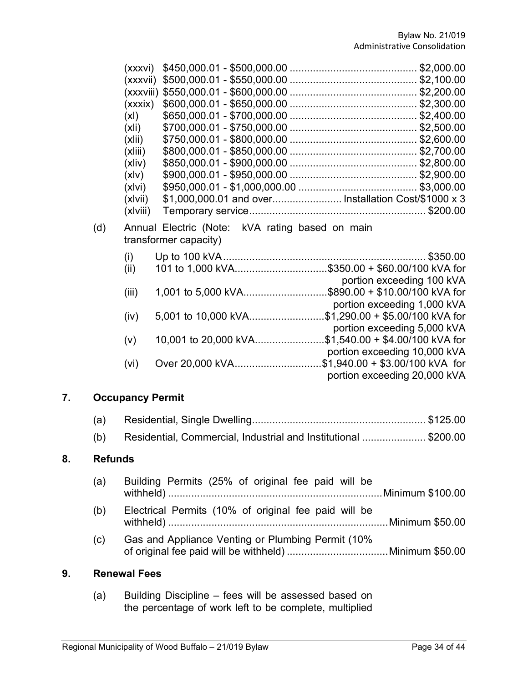| (xxxvi)  |                                                      | \$2,000.00 |
|----------|------------------------------------------------------|------------|
| (xxxvii) |                                                      | \$2,100.00 |
|          |                                                      | \$2,200.00 |
| (xxxix)  |                                                      | \$2,300.00 |
| (xl)     |                                                      | \$2,400.00 |
| (xli)    |                                                      | \$2,500.00 |
| (xlii)   |                                                      | \$2,600.00 |
| (xliii)  |                                                      |            |
| (xliv)   |                                                      | \$2,800.00 |
| (xlv)    |                                                      |            |
| (xlvi)   |                                                      | \$3,000.00 |
| (xlvii)  | \$1,000,000.01 and over Installation Cost/\$1000 x 3 |            |
| (xlviii) |                                                      |            |
|          |                                                      |            |

(d) Annual Electric (Note: kVA rating based on main transformer capacity)

| (i)               |                                                |                                 |
|-------------------|------------------------------------------------|---------------------------------|
| (ii)              | 101 to 1,000 kVA\$350.00 + \$60.00/100 kVA for |                                 |
|                   |                                                | portion exceeding 100 kVA       |
| (iii)             |                                                | \$890.00 + \$10.00/100 kVA for  |
|                   |                                                | portion exceeding 1,000 kVA     |
| (iv)              | 5,001 to 10,000 kVA                            | \$1,290.00 + \$5.00/100 kVA for |
|                   |                                                | portion exceeding 5,000 kVA     |
| (v)               | 10,001 to 20,000 kVA                           | \$1,540.00 + \$4.00/100 kVA for |
|                   |                                                | portion exceeding 10,000 kVA    |
| (v <sub>i</sub> ) | Over 20,000 kVA                                | \$1,940.00 + \$3.00/100 kVA for |
|                   |                                                | portion exceeding 20,000 kVA    |

# **7. Occupancy Permit**

|--|--|--|--|

(b) Residential, Commercial, Industrial and Institutional ...................... \$200.00

#### **8. Refunds**

- (a) Building Permits (25% of original fee paid will be withheld) ..........................................................................Minimum \$100.00 (b) Electrical Permits (10% of original fee paid will be
- withheld) ............................................................................Minimum \$50.00
- (c) Gas and Appliance Venting or Plumbing Permit (10% of original fee paid will be withheld) ...................................Minimum \$50.00

#### **9. Renewal Fees**

(a) Building Discipline – fees will be assessed based on the percentage of work left to be complete, multiplied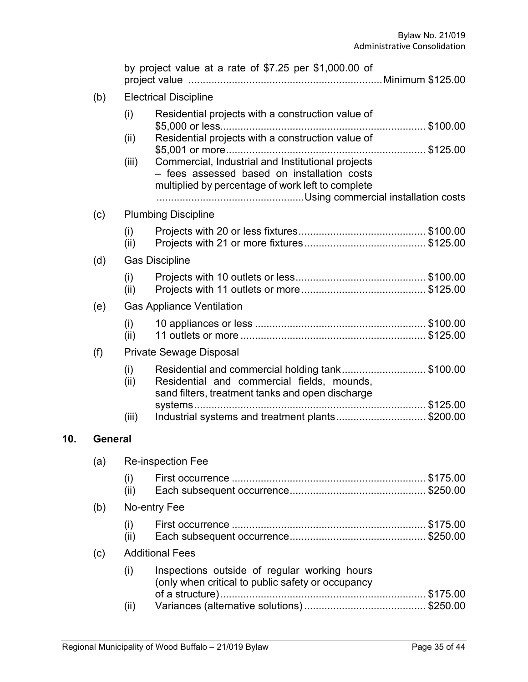|         |                                | by project value at a rate of \$7.25 per \$1,000.00 of                                                                                                |  |  |
|---------|--------------------------------|-------------------------------------------------------------------------------------------------------------------------------------------------------|--|--|
| (b)     |                                | <b>Electrical Discipline</b>                                                                                                                          |  |  |
|         | (i)                            | Residential projects with a construction value of                                                                                                     |  |  |
|         | (ii)                           | Residential projects with a construction value of                                                                                                     |  |  |
|         | (iii)                          | Commercial, Industrial and Institutional projects<br>- fees assessed based on installation costs<br>multiplied by percentage of work left to complete |  |  |
| (c)     |                                | <b>Plumbing Discipline</b>                                                                                                                            |  |  |
|         | (i)<br>(ii)                    |                                                                                                                                                       |  |  |
| (d)     |                                | <b>Gas Discipline</b>                                                                                                                                 |  |  |
|         | (i)<br>(ii)                    |                                                                                                                                                       |  |  |
| (e)     |                                | <b>Gas Appliance Ventilation</b>                                                                                                                      |  |  |
|         | (i)<br>(iii)                   |                                                                                                                                                       |  |  |
| (f)     | <b>Private Sewage Disposal</b> |                                                                                                                                                       |  |  |
|         | (i)<br>(iii)                   | Residential and commercial holding tank\$100.00<br>Residential and commercial fields, mounds,<br>sand filters, treatment tanks and open discharge     |  |  |
|         |                                |                                                                                                                                                       |  |  |
|         | (iii)                          | Industrial systems and treatment plants\$200.00                                                                                                       |  |  |
| General |                                |                                                                                                                                                       |  |  |
| (a)     |                                | <b>Re-inspection Fee</b>                                                                                                                              |  |  |
|         | (i)<br>(ii)                    |                                                                                                                                                       |  |  |
| (b)     |                                | No-entry Fee                                                                                                                                          |  |  |
|         | (i)<br>(ii)                    |                                                                                                                                                       |  |  |
| (c)     |                                | <b>Additional Fees</b>                                                                                                                                |  |  |
|         | (i)                            | Inspections outside of regular working hours<br>(only when critical to public safety or occupancy                                                     |  |  |
|         | (iii)                          |                                                                                                                                                       |  |  |
|         |                                |                                                                                                                                                       |  |  |

**10.**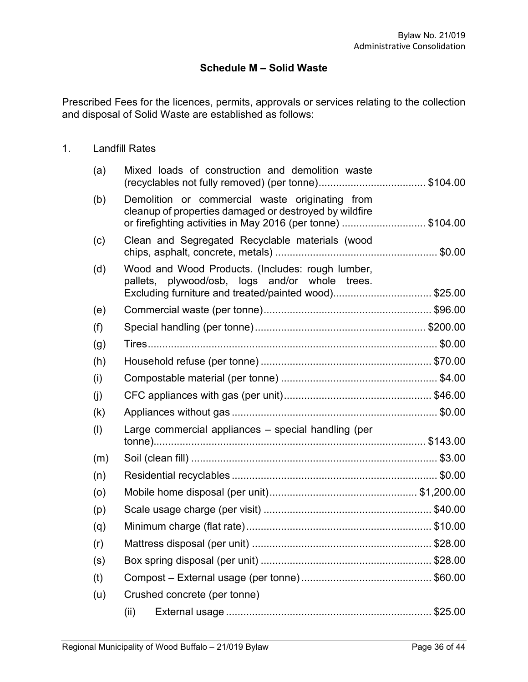# **Schedule M – Solid Waste**

Prescribed Fees for the licences, permits, approvals or services relating to the collection and disposal of Solid Waste are established as follows:

### 1. Landfill Rates

| (a) | Mixed loads of construction and demolition waste                                                                                                                         |  |
|-----|--------------------------------------------------------------------------------------------------------------------------------------------------------------------------|--|
| (b) | Demolition or commercial waste originating from<br>cleanup of properties damaged or destroyed by wildfire<br>or firefighting activities in May 2016 (per tonne) \$104.00 |  |
| (c) | Clean and Segregated Recyclable materials (wood                                                                                                                          |  |
| (d) | Wood and Wood Products. (Includes: rough lumber,<br>pallets, plywood/osb, logs and/or whole trees.<br>Excluding furniture and treated/painted wood)\$25.00               |  |
| (e) |                                                                                                                                                                          |  |
| (f) |                                                                                                                                                                          |  |
| (g) |                                                                                                                                                                          |  |
| (h) |                                                                                                                                                                          |  |
| (i) |                                                                                                                                                                          |  |
|     |                                                                                                                                                                          |  |
| (j) |                                                                                                                                                                          |  |
| (k) |                                                                                                                                                                          |  |
| (1) | Large commercial appliances - special handling (per                                                                                                                      |  |
| (m) |                                                                                                                                                                          |  |
| (n) |                                                                                                                                                                          |  |
| (o) |                                                                                                                                                                          |  |
| (p) |                                                                                                                                                                          |  |
| (q) |                                                                                                                                                                          |  |
| (r) |                                                                                                                                                                          |  |
| (s) |                                                                                                                                                                          |  |
| (t) |                                                                                                                                                                          |  |
| (u) | Crushed concrete (per tonne)                                                                                                                                             |  |
|     | (ii)                                                                                                                                                                     |  |
|     |                                                                                                                                                                          |  |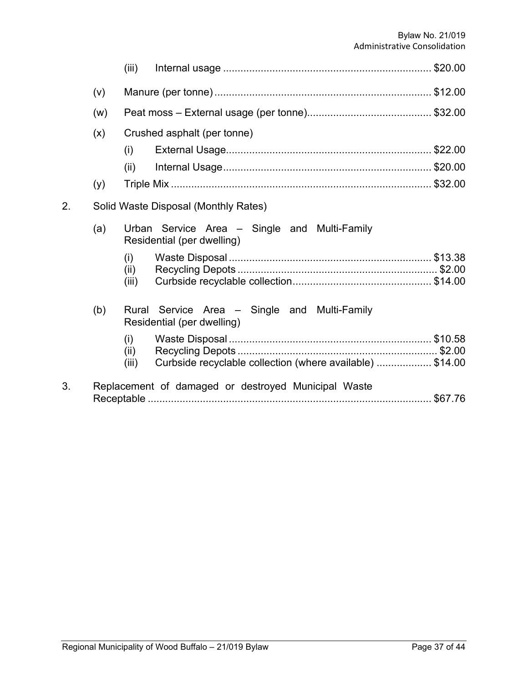|    |     | (iii)         |                                                                            |  |
|----|-----|---------------|----------------------------------------------------------------------------|--|
|    | (v) |               |                                                                            |  |
|    | (w) |               |                                                                            |  |
|    | (x) |               | Crushed asphalt (per tonne)                                                |  |
|    |     | (i)           |                                                                            |  |
|    |     | (ii)          |                                                                            |  |
|    | (y) |               |                                                                            |  |
| 2. |     |               | Solid Waste Disposal (Monthly Rates)                                       |  |
|    | (a) |               | Urban Service Area - Single and Multi-Family<br>Residential (per dwelling) |  |
|    |     | (i)           |                                                                            |  |
|    |     | (ii)<br>(iii) |                                                                            |  |
|    |     |               |                                                                            |  |
|    | (b) |               | Rural Service Area - Single and Multi-Family<br>Residential (per dwelling) |  |
|    |     | (i)           |                                                                            |  |
|    |     | (ii)          |                                                                            |  |
|    |     | (iii)         | Curbside recyclable collection (where available) \$14.00                   |  |
| 3. |     |               | Replacement of damaged or destroyed Municipal Waste                        |  |
|    |     |               |                                                                            |  |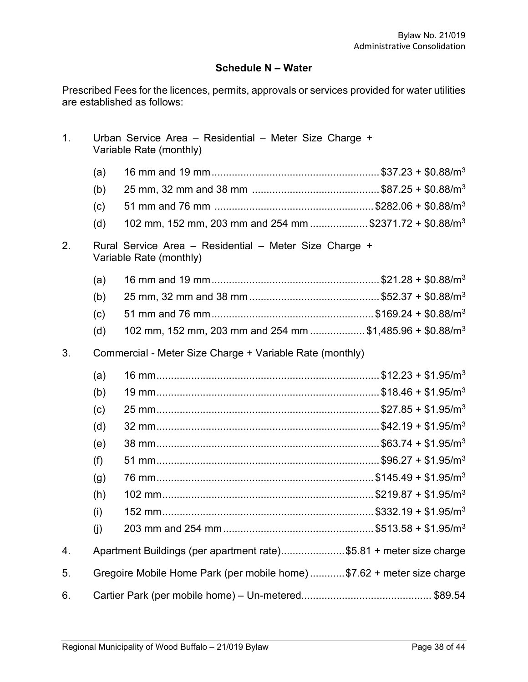# **Schedule N – Water**

Prescribed Fees for the licences, permits, approvals or services provided for water utilities are established as follows:

| 1. |                                                                                   | Urban Service Area – Residential – Meter Size Charge +<br>Variable Rate (monthly) |  |
|----|-----------------------------------------------------------------------------------|-----------------------------------------------------------------------------------|--|
|    | (a)                                                                               |                                                                                   |  |
|    | (b)                                                                               |                                                                                   |  |
|    | (c)                                                                               |                                                                                   |  |
|    | (d)                                                                               | 102 mm, 152 mm, 203 mm and 254 mm \$2371.72 + \$0.88/m <sup>3</sup>               |  |
| 2. | Rural Service Area - Residential - Meter Size Charge +<br>Variable Rate (monthly) |                                                                                   |  |
|    | (a)                                                                               |                                                                                   |  |
|    | (b)                                                                               |                                                                                   |  |
|    | (c)                                                                               |                                                                                   |  |
|    | (d)                                                                               | 102 mm, 152 mm, 203 mm and 254 mm \$1,485.96 + \$0.88/m <sup>3</sup>              |  |
| 3. |                                                                                   | Commercial - Meter Size Charge + Variable Rate (monthly)                          |  |
|    | (a)                                                                               |                                                                                   |  |
|    | (b)                                                                               |                                                                                   |  |
|    | (c)                                                                               |                                                                                   |  |
|    | (d)                                                                               |                                                                                   |  |
|    | (e)                                                                               |                                                                                   |  |
|    | (f)                                                                               |                                                                                   |  |
|    | (g)                                                                               |                                                                                   |  |
|    | (h)                                                                               |                                                                                   |  |
|    | (i)                                                                               |                                                                                   |  |
|    | (j)                                                                               |                                                                                   |  |
| 4. |                                                                                   | Apartment Buildings (per apartment rate)\$5.81 + meter size charge                |  |
| 5. |                                                                                   | Gregoire Mobile Home Park (per mobile home) \$7.62 + meter size charge            |  |
| 6. |                                                                                   |                                                                                   |  |
|    |                                                                                   |                                                                                   |  |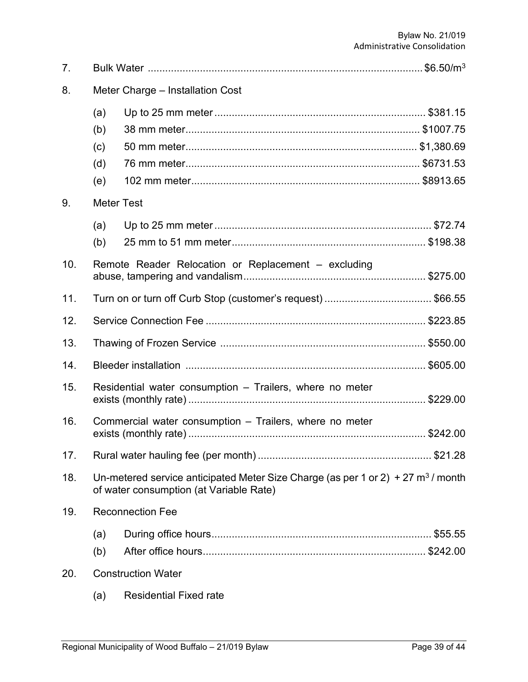| 7.  |                                  |                                                                                                                                |  |
|-----|----------------------------------|--------------------------------------------------------------------------------------------------------------------------------|--|
| 8.  | Meter Charge - Installation Cost |                                                                                                                                |  |
|     | (a)<br>(b)<br>(c)<br>(d)<br>(e)  |                                                                                                                                |  |
| 9.  | <b>Meter Test</b>                |                                                                                                                                |  |
| 10. | (a)<br>(b)                       | Remote Reader Relocation or Replacement – excluding                                                                            |  |
|     |                                  |                                                                                                                                |  |
| 11. |                                  | Turn on or turn off Curb Stop (customer's request)\$66.55                                                                      |  |
| 12. |                                  |                                                                                                                                |  |
| 13. |                                  |                                                                                                                                |  |
| 14. |                                  |                                                                                                                                |  |
| 15. |                                  | Residential water consumption - Trailers, where no meter                                                                       |  |
| 16. |                                  | Commercial water consumption - Trailers, where no meter                                                                        |  |
| 17. |                                  |                                                                                                                                |  |
| 18. |                                  | Un-metered service anticipated Meter Size Charge (as per 1 or 2) + 27 $m^3$ / month<br>of water consumption (at Variable Rate) |  |
| 19. |                                  | <b>Reconnection Fee</b>                                                                                                        |  |
|     | (a)                              |                                                                                                                                |  |
|     | (b)                              |                                                                                                                                |  |
| 20. |                                  | <b>Construction Water</b>                                                                                                      |  |
|     | (a)                              | <b>Residential Fixed rate</b>                                                                                                  |  |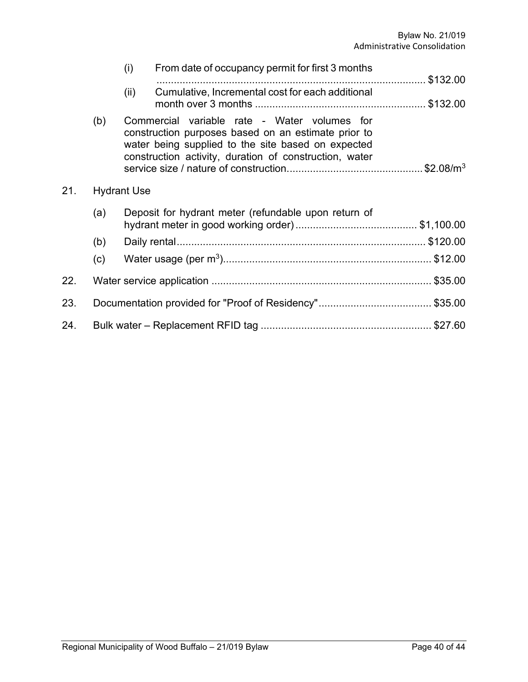|     |     | (i)                | From date of occupancy permit for first 3 months                                                                                                                                                                    |          |
|-----|-----|--------------------|---------------------------------------------------------------------------------------------------------------------------------------------------------------------------------------------------------------------|----------|
|     |     |                    |                                                                                                                                                                                                                     | \$132.00 |
|     |     | (ii)               | Cumulative, Incremental cost for each additional                                                                                                                                                                    |          |
|     | (b) |                    | Commercial variable rate - Water volumes for<br>construction purposes based on an estimate prior to<br>water being supplied to the site based on expected<br>construction activity, duration of construction, water |          |
| 21. |     | <b>Hydrant Use</b> |                                                                                                                                                                                                                     |          |
|     | (a) |                    | Deposit for hydrant meter (refundable upon return of                                                                                                                                                                |          |
|     |     |                    |                                                                                                                                                                                                                     |          |
|     | (b) |                    |                                                                                                                                                                                                                     |          |
|     | (c) |                    |                                                                                                                                                                                                                     |          |
| 22. |     |                    |                                                                                                                                                                                                                     |          |
| 23. |     |                    |                                                                                                                                                                                                                     |          |
| 24. |     |                    |                                                                                                                                                                                                                     |          |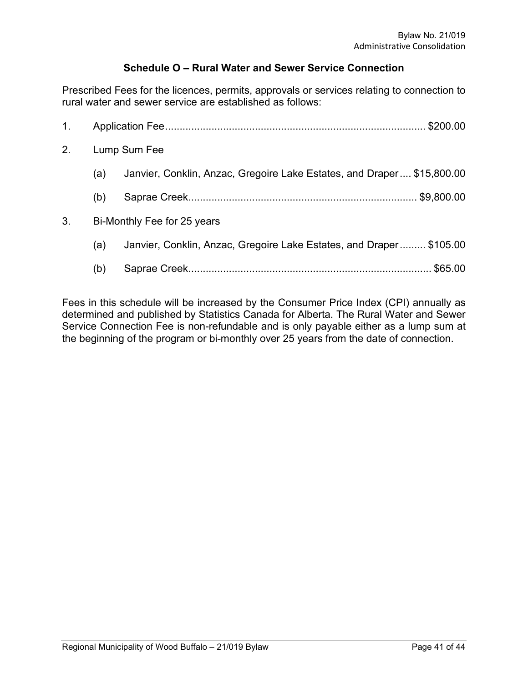# **Schedule O – Rural Water and Sewer Service Connection**

Prescribed Fees for the licences, permits, approvals or services relating to connection to rural water and sewer service are established as follows:

| 1 <sub>1</sub> |     | \$200.00                                                               |  |  |
|----------------|-----|------------------------------------------------------------------------|--|--|
| 2.             |     | Lump Sum Fee                                                           |  |  |
|                | (a) | Janvier, Conklin, Anzac, Gregoire Lake Estates, and Draper \$15,800.00 |  |  |
|                | (b) | \$9,800.00                                                             |  |  |
| 3.             |     | Bi-Monthly Fee for 25 years                                            |  |  |
|                | (a) | Janvier, Conklin, Anzac, Gregoire Lake Estates, and Draper \$105.00    |  |  |
|                | (b) |                                                                        |  |  |

Fees in this schedule will be increased by the Consumer Price Index (CPI) annually as determined and published by Statistics Canada for Alberta. The Rural Water and Sewer Service Connection Fee is non-refundable and is only payable either as a lump sum at the beginning of the program or bi-monthly over 25 years from the date of connection.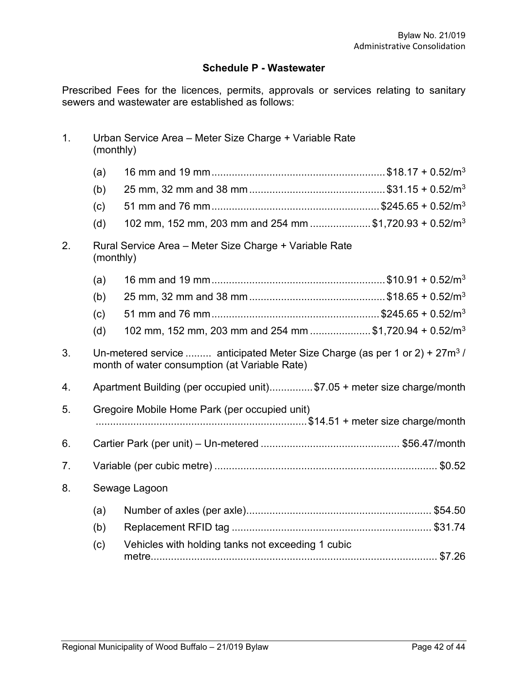# **Schedule P - Wastewater**

Prescribed Fees for the licences, permits, approvals or services relating to sanitary sewers and wastewater are established as follows:

| 1. | Urban Service Area - Meter Size Charge + Variable Rate<br>(monthly) |                                                                                                                                |  |  |
|----|---------------------------------------------------------------------|--------------------------------------------------------------------------------------------------------------------------------|--|--|
|    | (a)                                                                 |                                                                                                                                |  |  |
|    | (b)                                                                 |                                                                                                                                |  |  |
|    | (c)                                                                 |                                                                                                                                |  |  |
|    | (d)                                                                 | 102 mm, 152 mm, 203 mm and 254 mm \$1,720.93 + 0.52/m <sup>3</sup>                                                             |  |  |
| 2. | Rural Service Area - Meter Size Charge + Variable Rate<br>(monthly) |                                                                                                                                |  |  |
|    | (a)                                                                 |                                                                                                                                |  |  |
|    | (b)                                                                 |                                                                                                                                |  |  |
|    | (c)                                                                 |                                                                                                                                |  |  |
|    | (d)                                                                 | 102 mm, 152 mm, 203 mm and 254 mm \$1,720.94 + 0.52/m <sup>3</sup>                                                             |  |  |
| 3. |                                                                     | Un-metered service  anticipated Meter Size Charge (as per 1 or 2) + $27m^3$ /<br>month of water consumption (at Variable Rate) |  |  |
| 4. |                                                                     | Apartment Building (per occupied unit)\$7.05 + meter size charge/month                                                         |  |  |
| 5. |                                                                     | Gregoire Mobile Home Park (per occupied unit)                                                                                  |  |  |
|    |                                                                     |                                                                                                                                |  |  |
| 6. |                                                                     |                                                                                                                                |  |  |
| 7. |                                                                     |                                                                                                                                |  |  |
| 8. | Sewage Lagoon                                                       |                                                                                                                                |  |  |
|    | (a)                                                                 |                                                                                                                                |  |  |
|    | (b)                                                                 |                                                                                                                                |  |  |
|    | (c)                                                                 | Vehicles with holding tanks not exceeding 1 cubic                                                                              |  |  |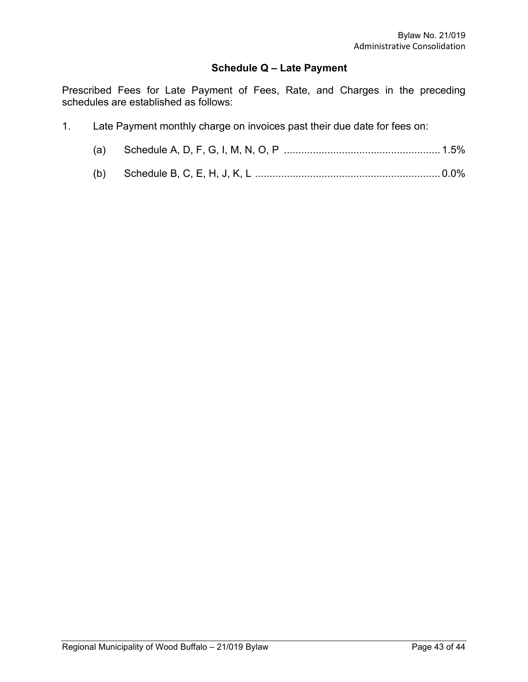## **Schedule Q – Late Payment**

Prescribed Fees for Late Payment of Fees, Rate, and Charges in the preceding schedules are established as follows:

1. Late Payment monthly charge on invoices past their due date for fees on: